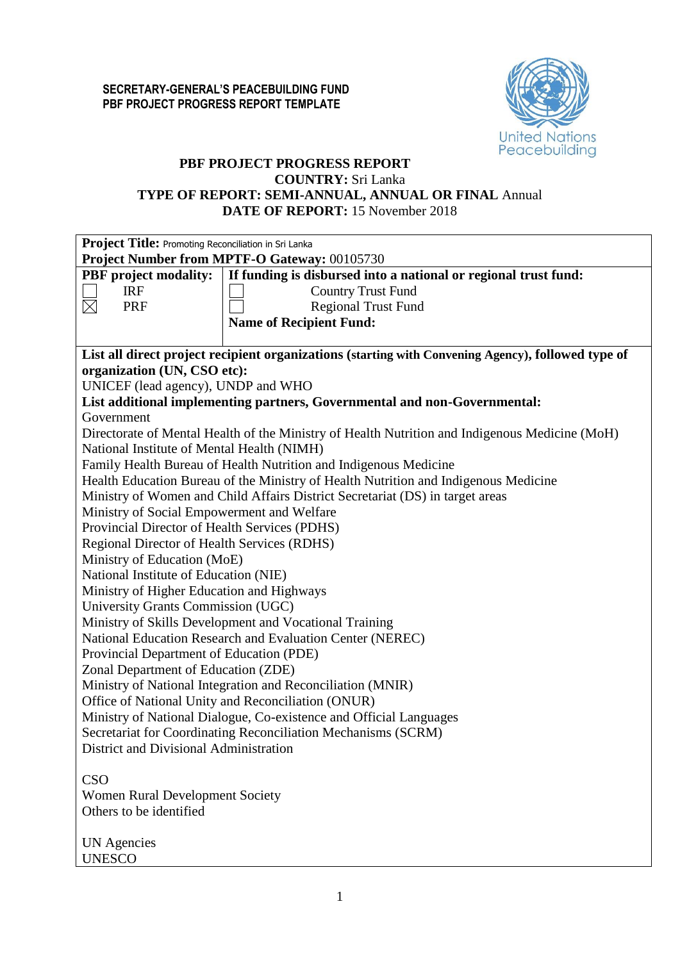

## **PBF PROJECT PROGRESS REPORT COUNTRY:** Sri Lanka

# **TYPE OF REPORT: SEMI-ANNUAL, ANNUAL OR FINAL** Annual

**DATE OF REPORT:** 15 November 2018

|                                               | Project Title: Promoting Reconciliation in Sri Lanka                                               |  |  |  |  |  |  |
|-----------------------------------------------|----------------------------------------------------------------------------------------------------|--|--|--|--|--|--|
| Project Number from MPTF-O Gateway: 00105730  |                                                                                                    |  |  |  |  |  |  |
| <b>PBF</b> project modality:                  | If funding is disbursed into a national or regional trust fund:                                    |  |  |  |  |  |  |
| <b>IRF</b>                                    | <b>Country Trust Fund</b>                                                                          |  |  |  |  |  |  |
| <b>PRF</b><br>$\times$                        | <b>Regional Trust Fund</b>                                                                         |  |  |  |  |  |  |
|                                               | <b>Name of Recipient Fund:</b>                                                                     |  |  |  |  |  |  |
|                                               |                                                                                                    |  |  |  |  |  |  |
|                                               | List all direct project recipient organizations (starting with Convening Agency), followed type of |  |  |  |  |  |  |
| organization (UN, CSO etc):                   |                                                                                                    |  |  |  |  |  |  |
| UNICEF (lead agency), UNDP and WHO            |                                                                                                    |  |  |  |  |  |  |
|                                               | List additional implementing partners, Governmental and non-Governmental:                          |  |  |  |  |  |  |
| Government                                    |                                                                                                    |  |  |  |  |  |  |
|                                               | Directorate of Mental Health of the Ministry of Health Nutrition and Indigenous Medicine (MoH)     |  |  |  |  |  |  |
| National Institute of Mental Health (NIMH)    |                                                                                                    |  |  |  |  |  |  |
|                                               | Family Health Bureau of Health Nutrition and Indigenous Medicine                                   |  |  |  |  |  |  |
|                                               | Health Education Bureau of the Ministry of Health Nutrition and Indigenous Medicine                |  |  |  |  |  |  |
|                                               | Ministry of Women and Child Affairs District Secretariat (DS) in target areas                      |  |  |  |  |  |  |
| Ministry of Social Empowerment and Welfare    |                                                                                                    |  |  |  |  |  |  |
| Provincial Director of Health Services (PDHS) |                                                                                                    |  |  |  |  |  |  |
| Regional Director of Health Services (RDHS)   |                                                                                                    |  |  |  |  |  |  |
| Ministry of Education (MoE)                   |                                                                                                    |  |  |  |  |  |  |
| National Institute of Education (NIE)         |                                                                                                    |  |  |  |  |  |  |
| Ministry of Higher Education and Highways     |                                                                                                    |  |  |  |  |  |  |
| University Grants Commission (UGC)            |                                                                                                    |  |  |  |  |  |  |
|                                               | Ministry of Skills Development and Vocational Training                                             |  |  |  |  |  |  |
|                                               | National Education Research and Evaluation Center (NEREC)                                          |  |  |  |  |  |  |
| Provincial Department of Education (PDE)      |                                                                                                    |  |  |  |  |  |  |
| Zonal Department of Education (ZDE)           |                                                                                                    |  |  |  |  |  |  |
|                                               | Ministry of National Integration and Reconciliation (MNIR)                                         |  |  |  |  |  |  |
|                                               | Office of National Unity and Reconciliation (ONUR)                                                 |  |  |  |  |  |  |
|                                               | Ministry of National Dialogue, Co-existence and Official Languages                                 |  |  |  |  |  |  |
|                                               | Secretariat for Coordinating Reconciliation Mechanisms (SCRM)                                      |  |  |  |  |  |  |
| District and Divisional Administration        |                                                                                                    |  |  |  |  |  |  |
|                                               |                                                                                                    |  |  |  |  |  |  |
| <b>CSO</b>                                    |                                                                                                    |  |  |  |  |  |  |
| <b>Women Rural Development Society</b>        |                                                                                                    |  |  |  |  |  |  |
| Others to be identified                       |                                                                                                    |  |  |  |  |  |  |
|                                               |                                                                                                    |  |  |  |  |  |  |
| <b>UN</b> Agencies                            |                                                                                                    |  |  |  |  |  |  |
| <b>UNESCO</b>                                 |                                                                                                    |  |  |  |  |  |  |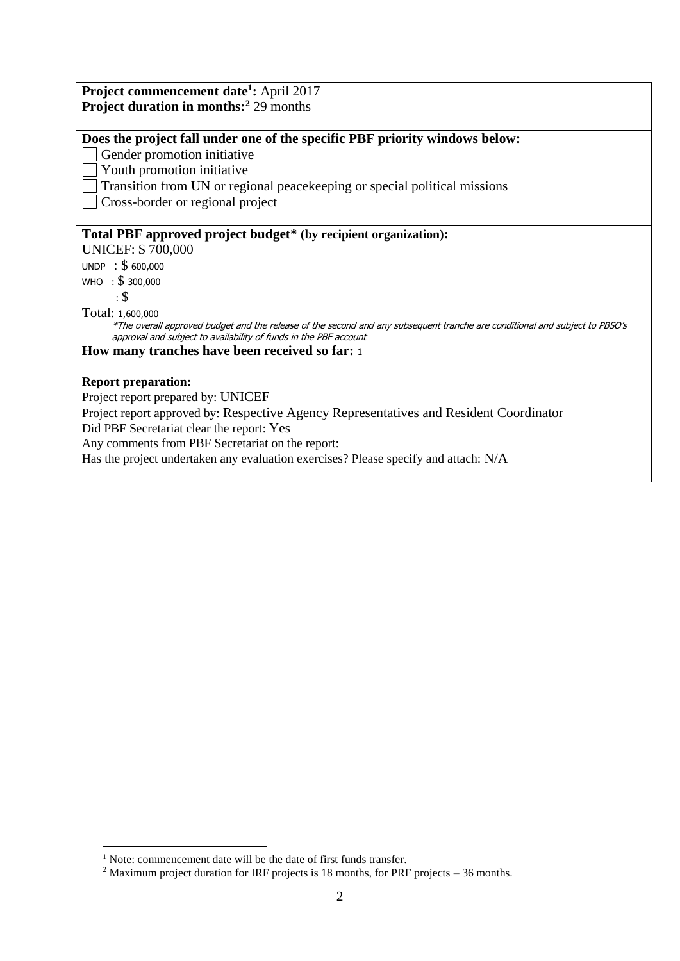| Project commencement date <sup>1</sup> : April 2017                                                                                                                                             |
|-------------------------------------------------------------------------------------------------------------------------------------------------------------------------------------------------|
| <b>Project duration in months:</b> <sup>2</sup> 29 months                                                                                                                                       |
|                                                                                                                                                                                                 |
| Does the project fall under one of the specific PBF priority windows below:                                                                                                                     |
| Gender promotion initiative                                                                                                                                                                     |
| Youth promotion initiative                                                                                                                                                                      |
| Transition from UN or regional peacekeeping or special political missions                                                                                                                       |
| Cross-border or regional project                                                                                                                                                                |
| Total PBF approved project budget* (by recipient organization):                                                                                                                                 |
| <b>UNICEF: \$700,000</b>                                                                                                                                                                        |
| UNDP : \$600,000                                                                                                                                                                                |
| WHO : $$300,000$                                                                                                                                                                                |
| $\cdot$ \$                                                                                                                                                                                      |
| Total: 1,600,000                                                                                                                                                                                |
| *The overall approved budget and the release of the second and any subsequent tranche are conditional and subject to PBSO's<br>approval and subject to availability of funds in the PBF account |
| How many tranches have been received so far: 1                                                                                                                                                  |
| <b>Report preparation:</b>                                                                                                                                                                      |
| Project report prepared by: UNICEF                                                                                                                                                              |
| Project report approved by: Respective Agency Representatives and Resident Coordinator                                                                                                          |
| Did PBF Secretariat clear the report: Yes                                                                                                                                                       |
| Any comments from PBF Secretariat on the report:                                                                                                                                                |
| Has the project undertaken any evaluation exercises? Please specify and attach: N/A                                                                                                             |

<u>.</u>

<sup>&</sup>lt;sup>1</sup> Note: commencement date will be the date of first funds transfer.

<sup>&</sup>lt;sup>2</sup> Maximum project duration for IRF projects is 18 months, for PRF projects  $-36$  months.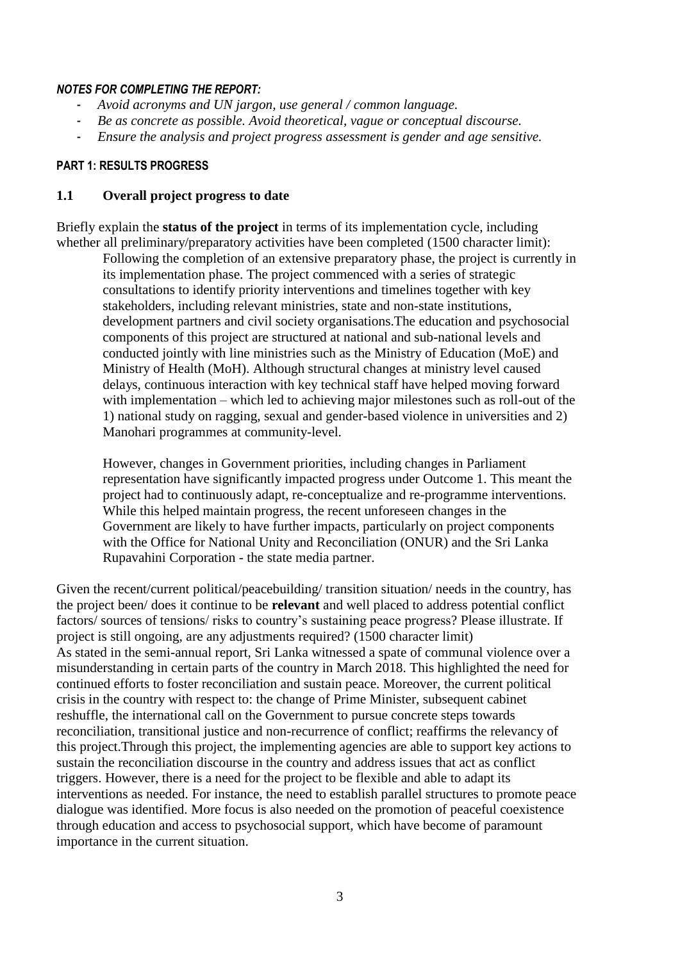## *NOTES FOR COMPLETING THE REPORT:*

- *Avoid acronyms and UN jargon, use general / common language.*
- *Be as concrete as possible. Avoid theoretical, vague or conceptual discourse.*
- *Ensure the analysis and project progress assessment is gender and age sensitive.*

## **PART 1: RESULTS PROGRESS**

## **1.1 Overall project progress to date**

Briefly explain the **status of the project** in terms of its implementation cycle, including whether all preliminary/preparatory activities have been completed (1500 character limit):

Following the completion of an extensive preparatory phase, the project is currently in its implementation phase. The project commenced with a series of strategic consultations to identify priority interventions and timelines together with key stakeholders, including relevant ministries, state and non-state institutions, development partners and civil society organisations.The education and psychosocial components of this project are structured at national and sub-national levels and conducted jointly with line ministries such as the Ministry of Education (MoE) and Ministry of Health (MoH). Although structural changes at ministry level caused delays, continuous interaction with key technical staff have helped moving forward with implementation – which led to achieving major milestones such as roll-out of the 1) national study on ragging, sexual and gender-based violence in universities and 2) Manohari programmes at community-level.

However, changes in Government priorities, including changes in Parliament representation have significantly impacted progress under Outcome 1. This meant the project had to continuously adapt, re-conceptualize and re-programme interventions. While this helped maintain progress, the recent unforeseen changes in the Government are likely to have further impacts, particularly on project components with the Office for National Unity and Reconciliation (ONUR) and the Sri Lanka Rupavahini Corporation - the state media partner.

Given the recent/current political/peacebuilding/ transition situation/ needs in the country, has the project been/ does it continue to be **relevant** and well placed to address potential conflict factors/ sources of tensions/ risks to country's sustaining peace progress? Please illustrate. If project is still ongoing, are any adjustments required? (1500 character limit) As stated in the semi-annual report, Sri Lanka witnessed a spate of communal violence over a misunderstanding in certain parts of the country in March 2018. This highlighted the need for continued efforts to foster reconciliation and sustain peace. Moreover, the current political crisis in the country with respect to: the change of Prime Minister, subsequent cabinet reshuffle, the international call on the Government to pursue concrete steps towards reconciliation, transitional justice and non-recurrence of conflict; reaffirms the relevancy of this project.Through this project, the implementing agencies are able to support key actions to sustain the reconciliation discourse in the country and address issues that act as conflict triggers. However, there is a need for the project to be flexible and able to adapt its interventions as needed. For instance, the need to establish parallel structures to promote peace dialogue was identified. More focus is also needed on the promotion of peaceful coexistence through education and access to psychosocial support, which have become of paramount importance in the current situation.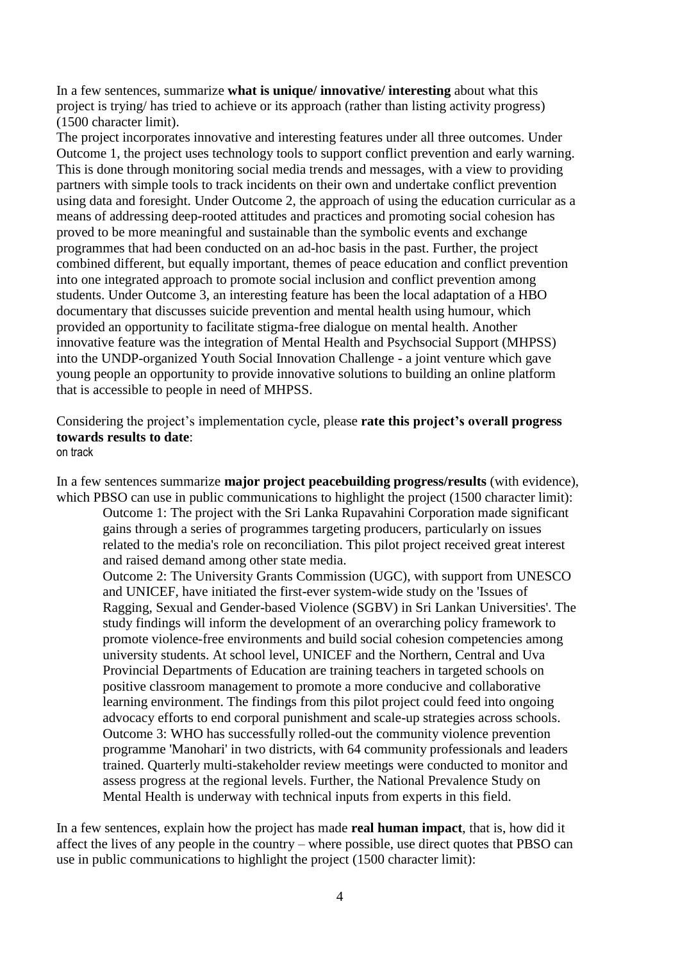In a few sentences, summarize **what is unique/ innovative/ interesting** about what this project is trying/ has tried to achieve or its approach (rather than listing activity progress) (1500 character limit).

The project incorporates innovative and interesting features under all three outcomes. Under Outcome 1, the project uses technology tools to support conflict prevention and early warning. This is done through monitoring social media trends and messages, with a view to providing partners with simple tools to track incidents on their own and undertake conflict prevention using data and foresight. Under Outcome 2, the approach of using the education curricular as a means of addressing deep-rooted attitudes and practices and promoting social cohesion has proved to be more meaningful and sustainable than the symbolic events and exchange programmes that had been conducted on an ad-hoc basis in the past. Further, the project combined different, but equally important, themes of peace education and conflict prevention into one integrated approach to promote social inclusion and conflict prevention among students. Under Outcome 3, an interesting feature has been the local adaptation of a HBO documentary that discusses suicide prevention and mental health using humour, which provided an opportunity to facilitate stigma-free dialogue on mental health. Another innovative feature was the integration of Mental Health and Psychsocial Support (MHPSS) into the UNDP-organized Youth Social Innovation Challenge - a joint venture which gave young people an opportunity to provide innovative solutions to building an online platform that is accessible to people in need of MHPSS.

Considering the project's implementation cycle, please **rate this project's overall progress towards results to date**: on track

In a few sentences summarize **major project peacebuilding progress/results** (with evidence), which PBSO can use in public communications to highlight the project (1500 character limit):

Outcome 1: The project with the Sri Lanka Rupavahini Corporation made significant gains through a series of programmes targeting producers, particularly on issues related to the media's role on reconciliation. This pilot project received great interest and raised demand among other state media.

Outcome 2: The University Grants Commission (UGC), with support from UNESCO and UNICEF, have initiated the first-ever system-wide study on the 'Issues of Ragging, Sexual and Gender-based Violence (SGBV) in Sri Lankan Universities'. The study findings will inform the development of an overarching policy framework to promote violence-free environments and build social cohesion competencies among university students. At school level, UNICEF and the Northern, Central and Uva Provincial Departments of Education are training teachers in targeted schools on positive classroom management to promote a more conducive and collaborative learning environment. The findings from this pilot project could feed into ongoing advocacy efforts to end corporal punishment and scale-up strategies across schools. Outcome 3: WHO has successfully rolled-out the community violence prevention programme 'Manohari' in two districts, with 64 community professionals and leaders trained. Quarterly multi-stakeholder review meetings were conducted to monitor and assess progress at the regional levels. Further, the National Prevalence Study on Mental Health is underway with technical inputs from experts in this field.

In a few sentences, explain how the project has made **real human impact**, that is, how did it affect the lives of any people in the country – where possible, use direct quotes that PBSO can use in public communications to highlight the project (1500 character limit):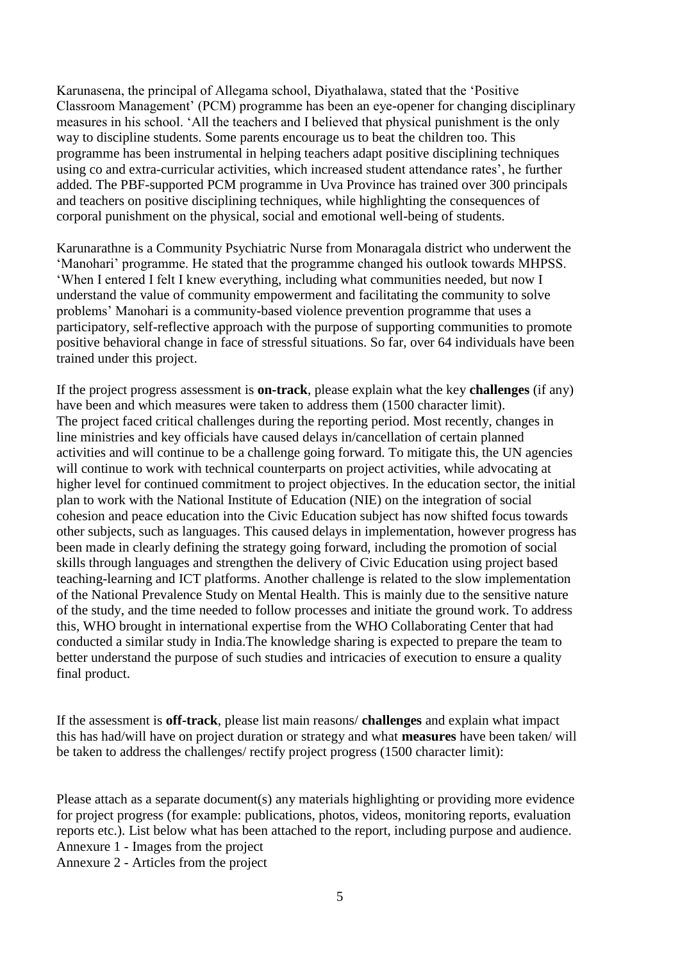Karunasena, the principal of Allegama school, Diyathalawa, stated that the 'Positive Classroom Management' (PCM) programme has been an eye-opener for changing disciplinary measures in his school. 'All the teachers and I believed that physical punishment is the only way to discipline students. Some parents encourage us to beat the children too. This programme has been instrumental in helping teachers adapt positive disciplining techniques using co and extra-curricular activities, which increased student attendance rates', he further added. The PBF-supported PCM programme in Uva Province has trained over 300 principals and teachers on positive disciplining techniques, while highlighting the consequences of corporal punishment on the physical, social and emotional well-being of students.

Karunarathne is a Community Psychiatric Nurse from Monaragala district who underwent the 'Manohari' programme. He stated that the programme changed his outlook towards MHPSS. 'When I entered I felt I knew everything, including what communities needed, but now I understand the value of community empowerment and facilitating the community to solve problems' Manohari is a community-based violence prevention programme that uses a participatory, self-reflective approach with the purpose of supporting communities to promote positive behavioral change in face of stressful situations. So far, over 64 individuals have been trained under this project.

If the project progress assessment is **on-track**, please explain what the key **challenges** (if any) have been and which measures were taken to address them (1500 character limit). The project faced critical challenges during the reporting period. Most recently, changes in line ministries and key officials have caused delays in/cancellation of certain planned activities and will continue to be a challenge going forward. To mitigate this, the UN agencies will continue to work with technical counterparts on project activities, while advocating at higher level for continued commitment to project objectives. In the education sector, the initial plan to work with the National Institute of Education (NIE) on the integration of social cohesion and peace education into the Civic Education subject has now shifted focus towards other subjects, such as languages. This caused delays in implementation, however progress has been made in clearly defining the strategy going forward, including the promotion of social skills through languages and strengthen the delivery of Civic Education using project based teaching-learning and ICT platforms. Another challenge is related to the slow implementation of the National Prevalence Study on Mental Health. This is mainly due to the sensitive nature of the study, and the time needed to follow processes and initiate the ground work. To address this, WHO brought in international expertise from the WHO Collaborating Center that had conducted a similar study in India.The knowledge sharing is expected to prepare the team to better understand the purpose of such studies and intricacies of execution to ensure a quality final product.

If the assessment is **off-track**, please list main reasons/ **challenges** and explain what impact this has had/will have on project duration or strategy and what **measures** have been taken/ will be taken to address the challenges/ rectify project progress (1500 character limit):

Please attach as a separate document(s) any materials highlighting or providing more evidence for project progress (for example: publications, photos, videos, monitoring reports, evaluation reports etc.). List below what has been attached to the report, including purpose and audience. Annexure 1 - Images from the project

Annexure 2 - Articles from the project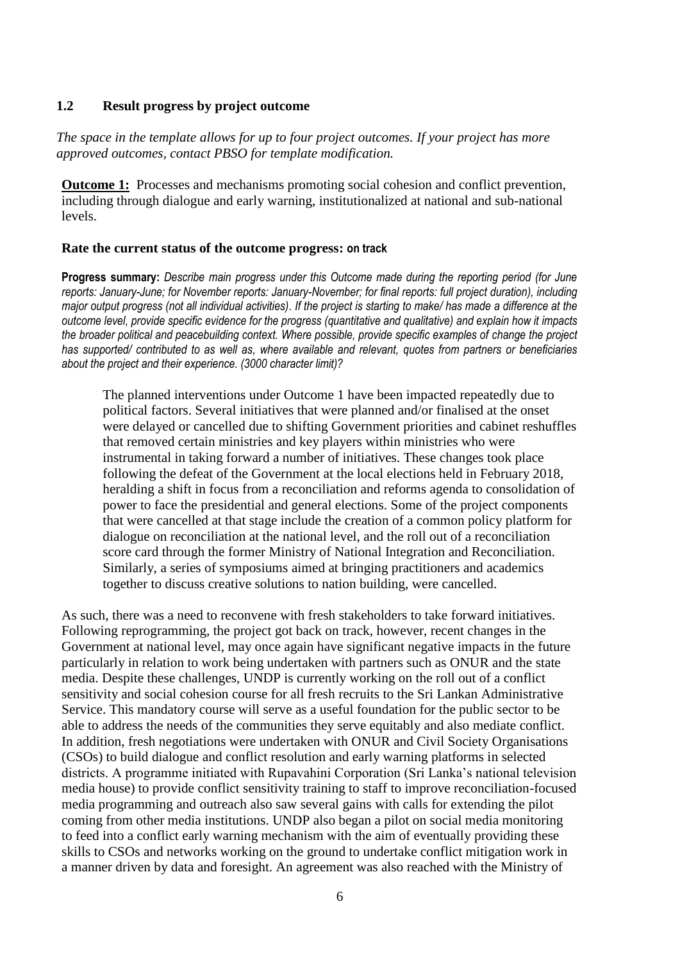## **1.2 Result progress by project outcome**

*The space in the template allows for up to four project outcomes. If your project has more approved outcomes, contact PBSO for template modification.*

**Outcome 1:** Processes and mechanisms promoting social cohesion and conflict prevention, including through dialogue and early warning, institutionalized at national and sub-national levels.

#### **Rate the current status of the outcome progress: on track**

**Progress summary:** *Describe main progress under this Outcome made during the reporting period (for June reports: January-June; for November reports: January-November; for final reports: full project duration), including major output progress (not all individual activities). If the project is starting to make/ has made a difference at the outcome level, provide specific evidence for the progress (quantitative and qualitative) and explain how it impacts the broader political and peacebuilding context. Where possible, provide specific examples of change the project has supported/ contributed to as well as, where available and relevant, quotes from partners or beneficiaries about the project and their experience. (3000 character limit)?* 

The planned interventions under Outcome 1 have been impacted repeatedly due to political factors. Several initiatives that were planned and/or finalised at the onset were delayed or cancelled due to shifting Government priorities and cabinet reshuffles that removed certain ministries and key players within ministries who were instrumental in taking forward a number of initiatives. These changes took place following the defeat of the Government at the local elections held in February 2018, heralding a shift in focus from a reconciliation and reforms agenda to consolidation of power to face the presidential and general elections. Some of the project components that were cancelled at that stage include the creation of a common policy platform for dialogue on reconciliation at the national level, and the roll out of a reconciliation score card through the former Ministry of National Integration and Reconciliation. Similarly, a series of symposiums aimed at bringing practitioners and academics together to discuss creative solutions to nation building, were cancelled.

As such, there was a need to reconvene with fresh stakeholders to take forward initiatives. Following reprogramming, the project got back on track, however, recent changes in the Government at national level, may once again have significant negative impacts in the future particularly in relation to work being undertaken with partners such as ONUR and the state media. Despite these challenges, UNDP is currently working on the roll out of a conflict sensitivity and social cohesion course for all fresh recruits to the Sri Lankan Administrative Service. This mandatory course will serve as a useful foundation for the public sector to be able to address the needs of the communities they serve equitably and also mediate conflict. In addition, fresh negotiations were undertaken with ONUR and Civil Society Organisations (CSOs) to build dialogue and conflict resolution and early warning platforms in selected districts. A programme initiated with Rupavahini Corporation (Sri Lanka's national television media house) to provide conflict sensitivity training to staff to improve reconciliation-focused media programming and outreach also saw several gains with calls for extending the pilot coming from other media institutions. UNDP also began a pilot on social media monitoring to feed into a conflict early warning mechanism with the aim of eventually providing these skills to CSOs and networks working on the ground to undertake conflict mitigation work in a manner driven by data and foresight. An agreement was also reached with the Ministry of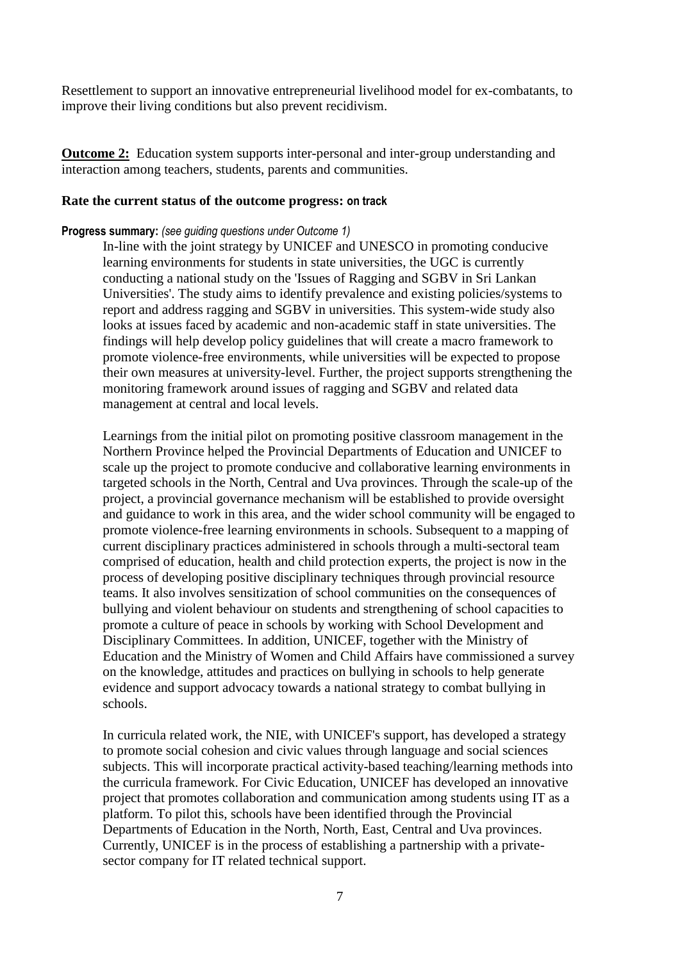Resettlement to support an innovative entrepreneurial livelihood model for ex-combatants, to improve their living conditions but also prevent recidivism.

**<u>Outcome 2:</u>** Education system supports inter-personal and inter-group understanding and interaction among teachers, students, parents and communities.

#### **Rate the current status of the outcome progress: on track**

#### **Progress summary:** *(see guiding questions under Outcome 1)*

In-line with the joint strategy by UNICEF and UNESCO in promoting conducive learning environments for students in state universities, the UGC is currently conducting a national study on the 'Issues of Ragging and SGBV in Sri Lankan Universities'. The study aims to identify prevalence and existing policies/systems to report and address ragging and SGBV in universities. This system-wide study also looks at issues faced by academic and non-academic staff in state universities. The findings will help develop policy guidelines that will create a macro framework to promote violence-free environments, while universities will be expected to propose their own measures at university-level. Further, the project supports strengthening the monitoring framework around issues of ragging and SGBV and related data management at central and local levels.

Learnings from the initial pilot on promoting positive classroom management in the Northern Province helped the Provincial Departments of Education and UNICEF to scale up the project to promote conducive and collaborative learning environments in targeted schools in the North, Central and Uva provinces. Through the scale-up of the project, a provincial governance mechanism will be established to provide oversight and guidance to work in this area, and the wider school community will be engaged to promote violence-free learning environments in schools. Subsequent to a mapping of current disciplinary practices administered in schools through a multi-sectoral team comprised of education, health and child protection experts, the project is now in the process of developing positive disciplinary techniques through provincial resource teams. It also involves sensitization of school communities on the consequences of bullying and violent behaviour on students and strengthening of school capacities to promote a culture of peace in schools by working with School Development and Disciplinary Committees. In addition, UNICEF, together with the Ministry of Education and the Ministry of Women and Child Affairs have commissioned a survey on the knowledge, attitudes and practices on bullying in schools to help generate evidence and support advocacy towards a national strategy to combat bullying in schools.

In curricula related work, the NIE, with UNICEF's support, has developed a strategy to promote social cohesion and civic values through language and social sciences subjects. This will incorporate practical activity-based teaching/learning methods into the curricula framework. For Civic Education, UNICEF has developed an innovative project that promotes collaboration and communication among students using IT as a platform. To pilot this, schools have been identified through the Provincial Departments of Education in the North, North, East, Central and Uva provinces. Currently, UNICEF is in the process of establishing a partnership with a privatesector company for IT related technical support.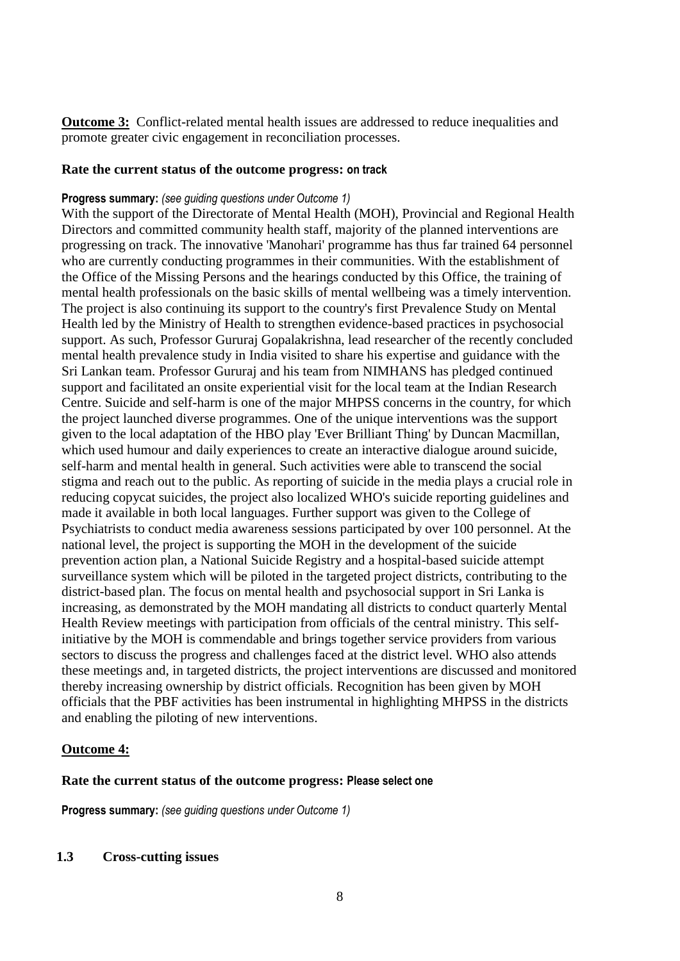**Outcome 3:** Conflict-related mental health issues are addressed to reduce inequalities and promote greater civic engagement in reconciliation processes.

## **Rate the current status of the outcome progress: on track**

## **Progress summary:** *(see guiding questions under Outcome 1)*

With the support of the Directorate of Mental Health (MOH), Provincial and Regional Health Directors and committed community health staff, majority of the planned interventions are progressing on track. The innovative 'Manohari' programme has thus far trained 64 personnel who are currently conducting programmes in their communities. With the establishment of the Office of the Missing Persons and the hearings conducted by this Office, the training of mental health professionals on the basic skills of mental wellbeing was a timely intervention. The project is also continuing its support to the country's first Prevalence Study on Mental Health led by the Ministry of Health to strengthen evidence-based practices in psychosocial support. As such, Professor Gururaj Gopalakrishna, lead researcher of the recently concluded mental health prevalence study in India visited to share his expertise and guidance with the Sri Lankan team. Professor Gururaj and his team from NIMHANS has pledged continued support and facilitated an onsite experiential visit for the local team at the Indian Research Centre. Suicide and self-harm is one of the major MHPSS concerns in the country, for which the project launched diverse programmes. One of the unique interventions was the support given to the local adaptation of the HBO play 'Ever Brilliant Thing' by Duncan Macmillan, which used humour and daily experiences to create an interactive dialogue around suicide, self-harm and mental health in general. Such activities were able to transcend the social stigma and reach out to the public. As reporting of suicide in the media plays a crucial role in reducing copycat suicides, the project also localized WHO's suicide reporting guidelines and made it available in both local languages. Further support was given to the College of Psychiatrists to conduct media awareness sessions participated by over 100 personnel. At the national level, the project is supporting the MOH in the development of the suicide prevention action plan, a National Suicide Registry and a hospital-based suicide attempt surveillance system which will be piloted in the targeted project districts, contributing to the district-based plan. The focus on mental health and psychosocial support in Sri Lanka is increasing, as demonstrated by the MOH mandating all districts to conduct quarterly Mental Health Review meetings with participation from officials of the central ministry. This selfinitiative by the MOH is commendable and brings together service providers from various sectors to discuss the progress and challenges faced at the district level. WHO also attends these meetings and, in targeted districts, the project interventions are discussed and monitored thereby increasing ownership by district officials. Recognition has been given by MOH officials that the PBF activities has been instrumental in highlighting MHPSS in the districts and enabling the piloting of new interventions.

## **Outcome 4:**

## **Rate the current status of the outcome progress: Please select one**

**Progress summary:** *(see guiding questions under Outcome 1)* 

## **1.3 Cross-cutting issues**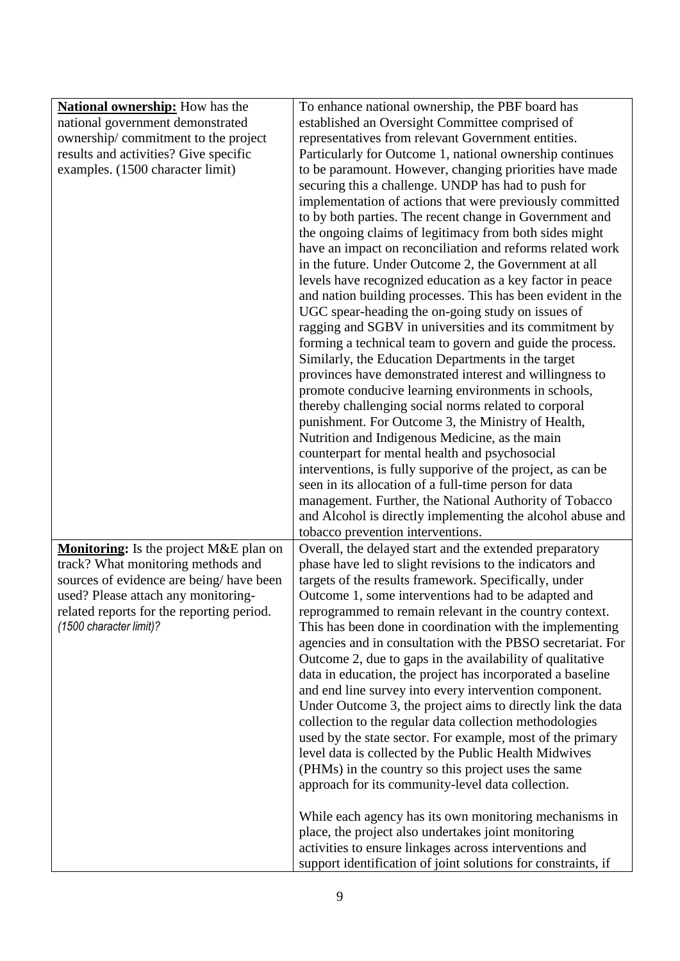| <b>National ownership:</b> How has the    | To enhance national ownership, the PBF board has              |
|-------------------------------------------|---------------------------------------------------------------|
| national government demonstrated          | established an Oversight Committee comprised of               |
| ownership/commitment to the project       | representatives from relevant Government entities.            |
| results and activities? Give specific     | Particularly for Outcome 1, national ownership continues      |
| examples. (1500 character limit)          | to be paramount. However, changing priorities have made       |
|                                           | securing this a challenge. UNDP has had to push for           |
|                                           | implementation of actions that were previously committed      |
|                                           | to by both parties. The recent change in Government and       |
|                                           | the ongoing claims of legitimacy from both sides might        |
|                                           | have an impact on reconciliation and reforms related work     |
|                                           | in the future. Under Outcome 2, the Government at all         |
|                                           | levels have recognized education as a key factor in peace     |
|                                           | and nation building processes. This has been evident in the   |
|                                           | UGC spear-heading the on-going study on issues of             |
|                                           | ragging and SGBV in universities and its commitment by        |
|                                           | forming a technical team to govern and guide the process.     |
|                                           | Similarly, the Education Departments in the target            |
|                                           | provinces have demonstrated interest and willingness to       |
|                                           | promote conducive learning environments in schools,           |
|                                           | thereby challenging social norms related to corporal          |
|                                           | punishment. For Outcome 3, the Ministry of Health,            |
|                                           | Nutrition and Indigenous Medicine, as the main                |
|                                           | counterpart for mental health and psychosocial                |
|                                           | interventions, is fully supporive of the project, as can be   |
|                                           | seen in its allocation of a full-time person for data         |
|                                           | management. Further, the National Authority of Tobacco        |
|                                           | and Alcohol is directly implementing the alcohol abuse and    |
|                                           | tobacco prevention interventions.                             |
| Monitoring: Is the project M&E plan on    | Overall, the delayed start and the extended preparatory       |
| track? What monitoring methods and        | phase have led to slight revisions to the indicators and      |
| sources of evidence are being/have been   | targets of the results framework. Specifically, under         |
| used? Please attach any monitoring-       | Outcome 1, some interventions had to be adapted and           |
| related reports for the reporting period. | reprogrammed to remain relevant in the country context.       |
| (1500 character limit)?                   | This has been done in coordination with the implementing      |
|                                           | agencies and in consultation with the PBSO secretariat. For   |
|                                           | Outcome 2, due to gaps in the availability of qualitative     |
|                                           | data in education, the project has incorporated a baseline    |
|                                           | and end line survey into every intervention component.        |
|                                           | Under Outcome 3, the project aims to directly link the data   |
|                                           | collection to the regular data collection methodologies       |
|                                           | used by the state sector. For example, most of the primary    |
|                                           | level data is collected by the Public Health Midwives         |
|                                           | (PHMs) in the country so this project uses the same           |
|                                           | approach for its community-level data collection.             |
|                                           |                                                               |
|                                           | While each agency has its own monitoring mechanisms in        |
|                                           | place, the project also undertakes joint monitoring           |
|                                           | activities to ensure linkages across interventions and        |
|                                           | support identification of joint solutions for constraints, if |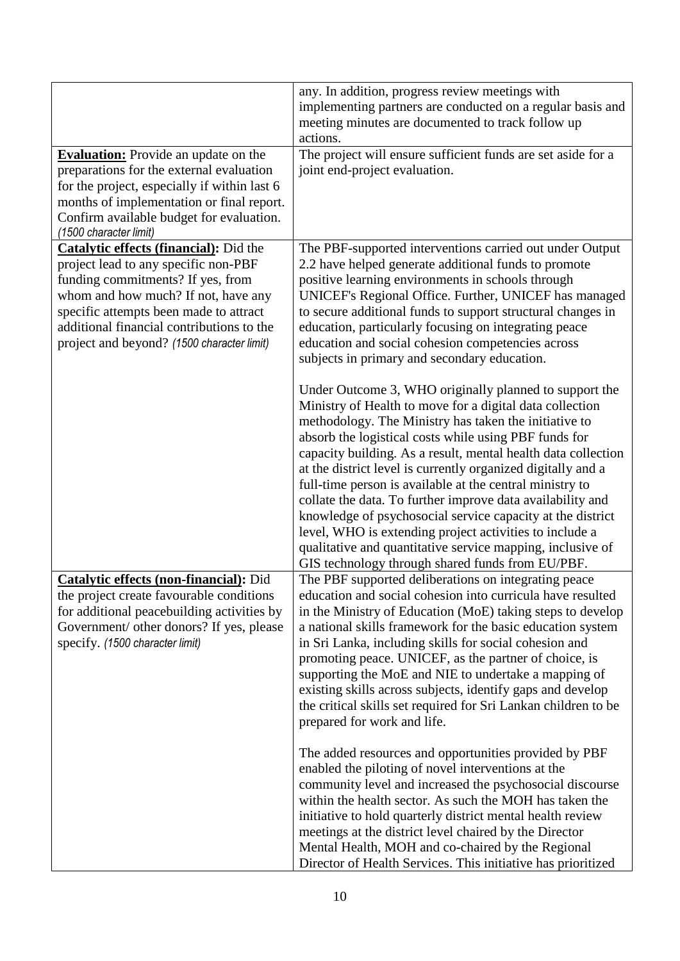| <b>Evaluation:</b> Provide an update on the<br>preparations for the external evaluation<br>for the project, especially if within last 6<br>months of implementation or final report.<br>Confirm available budget for evaluation.<br>(1500 character limit)                                      | any. In addition, progress review meetings with<br>implementing partners are conducted on a regular basis and<br>meeting minutes are documented to track follow up<br>actions.<br>The project will ensure sufficient funds are set aside for a<br>joint end-project evaluation.                                                                                                                                                                                                                                                                                                                                                                                                                                                            |
|-------------------------------------------------------------------------------------------------------------------------------------------------------------------------------------------------------------------------------------------------------------------------------------------------|--------------------------------------------------------------------------------------------------------------------------------------------------------------------------------------------------------------------------------------------------------------------------------------------------------------------------------------------------------------------------------------------------------------------------------------------------------------------------------------------------------------------------------------------------------------------------------------------------------------------------------------------------------------------------------------------------------------------------------------------|
| Catalytic effects (financial): Did the<br>project lead to any specific non-PBF<br>funding commitments? If yes, from<br>whom and how much? If not, have any<br>specific attempts been made to attract<br>additional financial contributions to the<br>project and beyond? (1500 character limit) | The PBF-supported interventions carried out under Output<br>2.2 have helped generate additional funds to promote<br>positive learning environments in schools through<br>UNICEF's Regional Office. Further, UNICEF has managed<br>to secure additional funds to support structural changes in<br>education, particularly focusing on integrating peace<br>education and social cohesion competencies across<br>subjects in primary and secondary education.                                                                                                                                                                                                                                                                                |
|                                                                                                                                                                                                                                                                                                 | Under Outcome 3, WHO originally planned to support the<br>Ministry of Health to move for a digital data collection<br>methodology. The Ministry has taken the initiative to<br>absorb the logistical costs while using PBF funds for<br>capacity building. As a result, mental health data collection<br>at the district level is currently organized digitally and a<br>full-time person is available at the central ministry to<br>collate the data. To further improve data availability and<br>knowledge of psychosocial service capacity at the district<br>level, WHO is extending project activities to include a<br>qualitative and quantitative service mapping, inclusive of<br>GIS technology through shared funds from EU/PBF. |
| <b>Catalytic effects (non-financial):</b> Did<br>the project create favourable conditions<br>for additional peacebuilding activities by<br>Government/ other donors? If yes, please<br>specify. (1500 character limit)                                                                          | The PBF supported deliberations on integrating peace<br>education and social cohesion into curricula have resulted<br>in the Ministry of Education (MoE) taking steps to develop<br>a national skills framework for the basic education system<br>in Sri Lanka, including skills for social cohesion and<br>promoting peace. UNICEF, as the partner of choice, is<br>supporting the MoE and NIE to undertake a mapping of<br>existing skills across subjects, identify gaps and develop<br>the critical skills set required for Sri Lankan children to be<br>prepared for work and life.                                                                                                                                                   |
|                                                                                                                                                                                                                                                                                                 | The added resources and opportunities provided by PBF<br>enabled the piloting of novel interventions at the<br>community level and increased the psychosocial discourse<br>within the health sector. As such the MOH has taken the<br>initiative to hold quarterly district mental health review<br>meetings at the district level chaired by the Director<br>Mental Health, MOH and co-chaired by the Regional<br>Director of Health Services. This initiative has prioritized                                                                                                                                                                                                                                                            |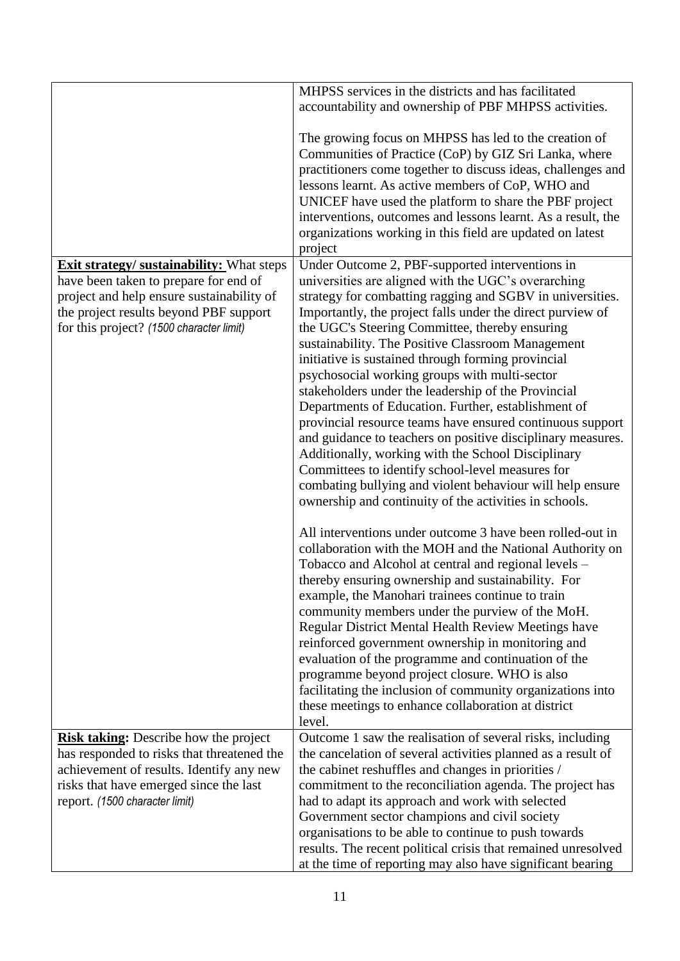|                                                                                                                                                                                                                              | MHPSS services in the districts and has facilitated<br>accountability and ownership of PBF MHPSS activities.                                                                                                                                                                                                                                                                                                                                                                                                                                                                                                                                                                                                                                                                                                                                                                                                               |
|------------------------------------------------------------------------------------------------------------------------------------------------------------------------------------------------------------------------------|----------------------------------------------------------------------------------------------------------------------------------------------------------------------------------------------------------------------------------------------------------------------------------------------------------------------------------------------------------------------------------------------------------------------------------------------------------------------------------------------------------------------------------------------------------------------------------------------------------------------------------------------------------------------------------------------------------------------------------------------------------------------------------------------------------------------------------------------------------------------------------------------------------------------------|
|                                                                                                                                                                                                                              | The growing focus on MHPSS has led to the creation of<br>Communities of Practice (CoP) by GIZ Sri Lanka, where<br>practitioners come together to discuss ideas, challenges and<br>lessons learnt. As active members of CoP, WHO and<br>UNICEF have used the platform to share the PBF project<br>interventions, outcomes and lessons learnt. As a result, the<br>organizations working in this field are updated on latest<br>project                                                                                                                                                                                                                                                                                                                                                                                                                                                                                      |
| <b>Exit strategy/ sustainability:</b> What steps<br>have been taken to prepare for end of<br>project and help ensure sustainability of<br>the project results beyond PBF support<br>for this project? (1500 character limit) | Under Outcome 2, PBF-supported interventions in<br>universities are aligned with the UGC's overarching<br>strategy for combatting ragging and SGBV in universities.<br>Importantly, the project falls under the direct purview of<br>the UGC's Steering Committee, thereby ensuring<br>sustainability. The Positive Classroom Management<br>initiative is sustained through forming provincial<br>psychosocial working groups with multi-sector<br>stakeholders under the leadership of the Provincial<br>Departments of Education. Further, establishment of<br>provincial resource teams have ensured continuous support<br>and guidance to teachers on positive disciplinary measures.<br>Additionally, working with the School Disciplinary<br>Committees to identify school-level measures for<br>combating bullying and violent behaviour will help ensure<br>ownership and continuity of the activities in schools. |
|                                                                                                                                                                                                                              | All interventions under outcome 3 have been rolled-out in<br>collaboration with the MOH and the National Authority on<br>Tobacco and Alcohol at central and regional levels -<br>thereby ensuring ownership and sustainability. For<br>example, the Manohari trainees continue to train<br>community members under the purview of the MoH.<br>Regular District Mental Health Review Meetings have<br>reinforced government ownership in monitoring and<br>evaluation of the programme and continuation of the<br>programme beyond project closure. WHO is also<br>facilitating the inclusion of community organizations into<br>these meetings to enhance collaboration at district<br>level.                                                                                                                                                                                                                              |
| <b>Risk taking:</b> Describe how the project<br>has responded to risks that threatened the<br>achievement of results. Identify any new<br>risks that have emerged since the last<br>report. (1500 character limit)           | Outcome 1 saw the realisation of several risks, including<br>the cancelation of several activities planned as a result of<br>the cabinet reshuffles and changes in priorities /<br>commitment to the reconciliation agenda. The project has<br>had to adapt its approach and work with selected<br>Government sector champions and civil society<br>organisations to be able to continue to push towards<br>results. The recent political crisis that remained unresolved<br>at the time of reporting may also have significant bearing                                                                                                                                                                                                                                                                                                                                                                                    |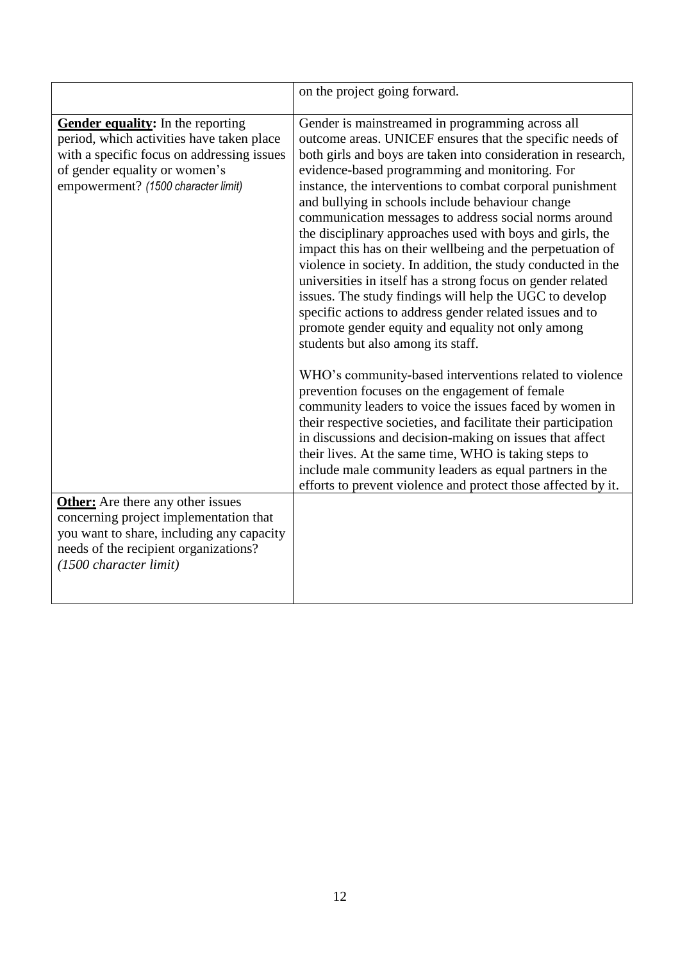|                                                                                                                                                                                                      | on the project going forward.                                                                                                                                                                                                                                                                                                                                                                                                                                                                                                                                                                                                                                                                                                                                                                                                                                                         |
|------------------------------------------------------------------------------------------------------------------------------------------------------------------------------------------------------|---------------------------------------------------------------------------------------------------------------------------------------------------------------------------------------------------------------------------------------------------------------------------------------------------------------------------------------------------------------------------------------------------------------------------------------------------------------------------------------------------------------------------------------------------------------------------------------------------------------------------------------------------------------------------------------------------------------------------------------------------------------------------------------------------------------------------------------------------------------------------------------|
| Gender equality: In the reporting<br>period, which activities have taken place<br>with a specific focus on addressing issues<br>of gender equality or women's<br>empowerment? (1500 character limit) | Gender is mainstreamed in programming across all<br>outcome areas. UNICEF ensures that the specific needs of<br>both girls and boys are taken into consideration in research,<br>evidence-based programming and monitoring. For<br>instance, the interventions to combat corporal punishment<br>and bullying in schools include behaviour change<br>communication messages to address social norms around<br>the disciplinary approaches used with boys and girls, the<br>impact this has on their wellbeing and the perpetuation of<br>violence in society. In addition, the study conducted in the<br>universities in itself has a strong focus on gender related<br>issues. The study findings will help the UGC to develop<br>specific actions to address gender related issues and to<br>promote gender equity and equality not only among<br>students but also among its staff. |
|                                                                                                                                                                                                      | WHO's community-based interventions related to violence<br>prevention focuses on the engagement of female<br>community leaders to voice the issues faced by women in<br>their respective societies, and facilitate their participation<br>in discussions and decision-making on issues that affect<br>their lives. At the same time, WHO is taking steps to<br>include male community leaders as equal partners in the<br>efforts to prevent violence and protect those affected by it.                                                                                                                                                                                                                                                                                                                                                                                               |
| <b>Other:</b> Are there any other issues<br>concerning project implementation that<br>you want to share, including any capacity<br>needs of the recipient organizations?<br>(1500 character limit)   |                                                                                                                                                                                                                                                                                                                                                                                                                                                                                                                                                                                                                                                                                                                                                                                                                                                                                       |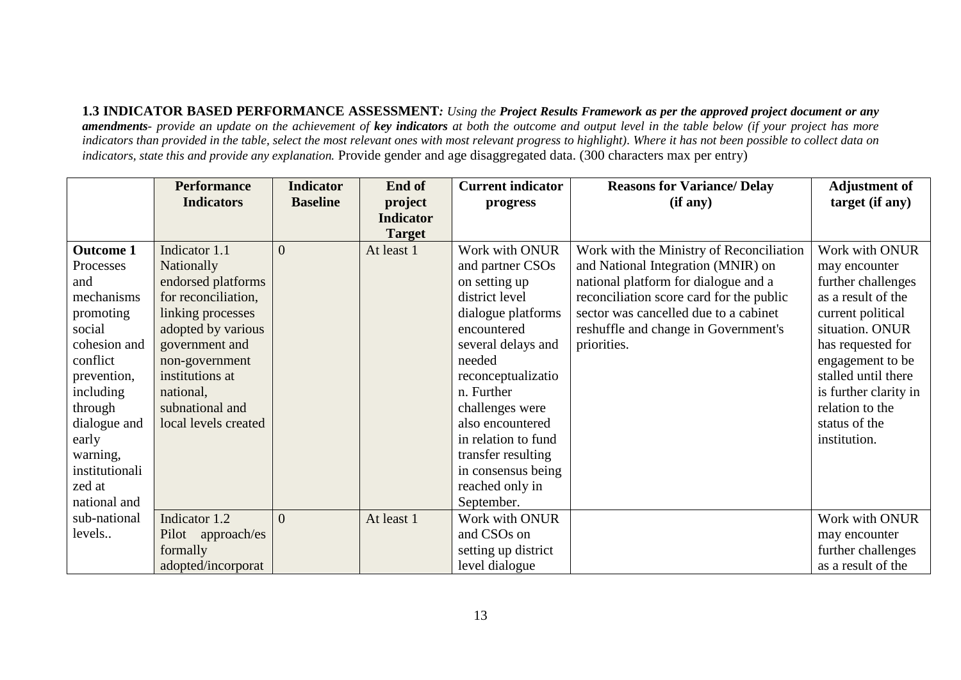**1.3 INDICATOR BASED PERFORMANCE ASSESSMENT***: Using the Project Results Framework as per the approved project document or any amendments- provide an update on the achievement of key indicators at both the outcome and output level in the table below (if your project has more*  indicators than provided in the table, select the most relevant ones with most relevant progress to highlight). Where it has not been possible to collect data on *indicators, state this and provide any explanation.* Provide gender and age disaggregated data. (300 characters max per entry)

|                  | <b>Performance</b>   | <b>Indicator</b> | End of           | <b>Current indicator</b> | <b>Reasons for Variance/ Delay</b>       | <b>Adjustment of</b>  |
|------------------|----------------------|------------------|------------------|--------------------------|------------------------------------------|-----------------------|
|                  | <b>Indicators</b>    | <b>Baseline</b>  | project          | progress                 | (if any)                                 | target (if any)       |
|                  |                      |                  | <b>Indicator</b> |                          |                                          |                       |
|                  |                      |                  | <b>Target</b>    |                          |                                          |                       |
| <b>Outcome 1</b> | Indicator 1.1        | $\Omega$         | At least 1       | Work with ONUR           | Work with the Ministry of Reconciliation | Work with ONUR        |
| Processes        | Nationally           |                  |                  | and partner CSOs         | and National Integration (MNIR) on       | may encounter         |
| and              | endorsed platforms   |                  |                  | on setting up            | national platform for dialogue and a     | further challenges    |
| mechanisms       | for reconciliation,  |                  |                  | district level           | reconciliation score card for the public | as a result of the    |
| promoting        | linking processes    |                  |                  | dialogue platforms       | sector was cancelled due to a cabinet    | current political     |
| social           | adopted by various   |                  |                  | encountered              | reshuffle and change in Government's     | situation. ONUR       |
| cohesion and     | government and       |                  |                  | several delays and       | priorities.                              | has requested for     |
| conflict         | non-government       |                  |                  | needed                   |                                          | engagement to be      |
| prevention,      | institutions at      |                  |                  | reconceptualizatio       |                                          | stalled until there   |
| including        | national,            |                  |                  | n. Further               |                                          | is further clarity in |
| through          | subnational and      |                  |                  | challenges were          |                                          | relation to the       |
| dialogue and     | local levels created |                  |                  | also encountered         |                                          | status of the         |
| early            |                      |                  |                  | in relation to fund      |                                          | institution.          |
| warning,         |                      |                  |                  | transfer resulting       |                                          |                       |
| institutionali   |                      |                  |                  | in consensus being       |                                          |                       |
| zed at           |                      |                  |                  | reached only in          |                                          |                       |
| national and     |                      |                  |                  | September.               |                                          |                       |
| sub-national     | Indicator 1.2        | $\Omega$         | At least 1       | Work with ONUR           |                                          | Work with ONUR        |
| levels           | Pilot approach/es    |                  |                  | and CSOs on              |                                          | may encounter         |
|                  | formally             |                  |                  | setting up district      |                                          | further challenges    |
|                  | adopted/incorporat   |                  |                  | level dialogue           |                                          | as a result of the    |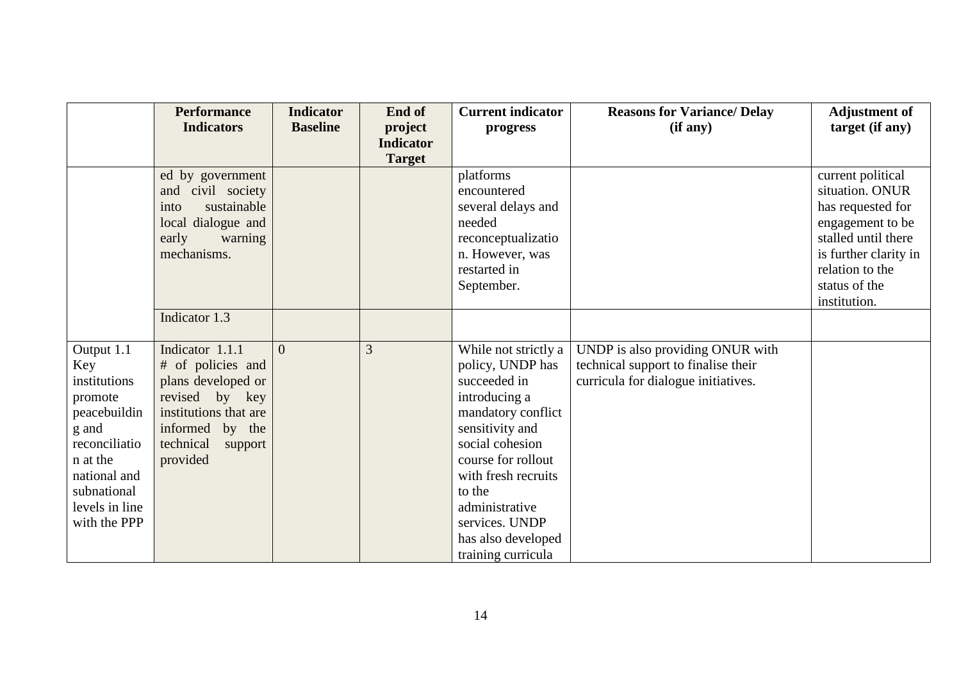|                                                                                                                                                                     | <b>Performance</b><br><b>Indicators</b>                                                                                                                      | <b>Indicator</b><br><b>Baseline</b> | End of<br>project<br><b>Indicator</b> | <b>Current indicator</b><br>progress                                                                                                                                                                                                                                         | <b>Reasons for Variance/ Delay</b><br>(if any)                                                                 | <b>Adjustment of</b><br>target (if any)                                                                                                                                           |
|---------------------------------------------------------------------------------------------------------------------------------------------------------------------|--------------------------------------------------------------------------------------------------------------------------------------------------------------|-------------------------------------|---------------------------------------|------------------------------------------------------------------------------------------------------------------------------------------------------------------------------------------------------------------------------------------------------------------------------|----------------------------------------------------------------------------------------------------------------|-----------------------------------------------------------------------------------------------------------------------------------------------------------------------------------|
|                                                                                                                                                                     |                                                                                                                                                              |                                     | <b>Target</b>                         |                                                                                                                                                                                                                                                                              |                                                                                                                |                                                                                                                                                                                   |
|                                                                                                                                                                     | ed by government<br>and civil society<br>sustainable<br>into<br>local dialogue and<br>early<br>warning<br>mechanisms.                                        |                                     |                                       | platforms<br>encountered<br>several delays and<br>needed<br>reconceptualizatio<br>n. However, was<br>restarted in<br>September.                                                                                                                                              |                                                                                                                | current political<br>situation. ONUR<br>has requested for<br>engagement to be<br>stalled until there<br>is further clarity in<br>relation to the<br>status of the<br>institution. |
|                                                                                                                                                                     | Indicator 1.3                                                                                                                                                |                                     |                                       |                                                                                                                                                                                                                                                                              |                                                                                                                |                                                                                                                                                                                   |
| Output 1.1<br>Key<br>institutions<br>promote<br>peacebuildin<br>g and<br>reconciliatio<br>n at the<br>national and<br>subnational<br>levels in line<br>with the PPP | Indicator 1.1.1<br># of policies and<br>plans developed or<br>revised by key<br>institutions that are<br>informed by the<br>technical<br>support<br>provided | $\Omega$                            | 3                                     | While not strictly a<br>policy, UNDP has<br>succeeded in<br>introducing a<br>mandatory conflict<br>sensitivity and<br>social cohesion<br>course for rollout<br>with fresh recruits<br>to the<br>administrative<br>services. UNDP<br>has also developed<br>training curricula | UNDP is also providing ONUR with<br>technical support to finalise their<br>curricula for dialogue initiatives. |                                                                                                                                                                                   |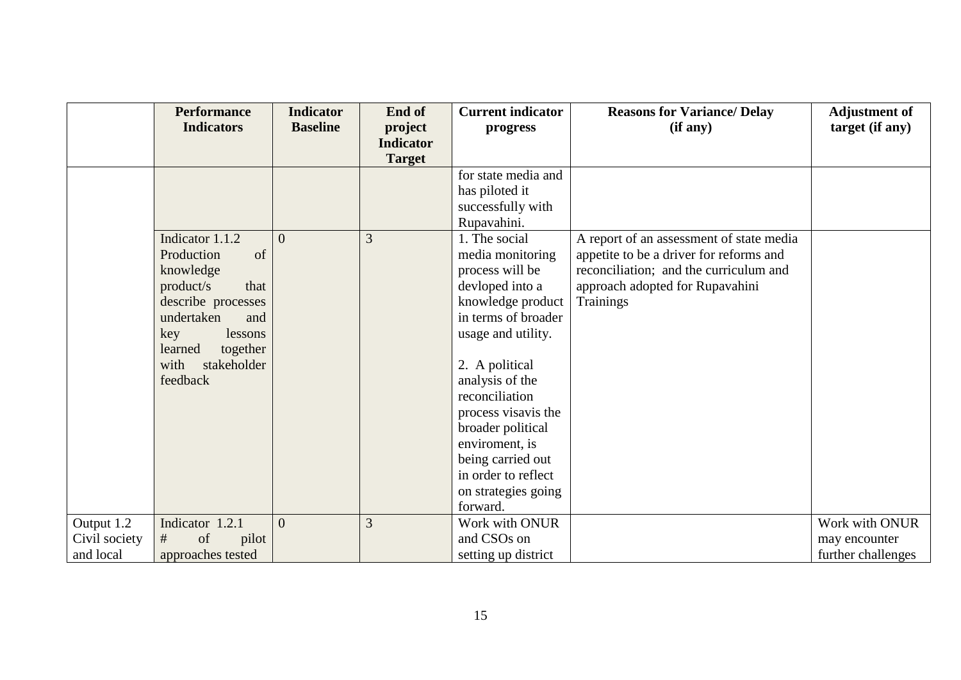|                                          | <b>Performance</b><br><b>Indicators</b>                                                                                                                                                      | <b>Indicator</b><br><b>Baseline</b> | End of<br>project<br><b>Indicator</b><br><b>Target</b> | <b>Current indicator</b><br>progress                                                                                                                                                                                                                                                                                                          | <b>Reasons for Variance/ Delay</b><br>(if any)                                                                                                                                | <b>Adjustment of</b><br>target (if any)               |
|------------------------------------------|----------------------------------------------------------------------------------------------------------------------------------------------------------------------------------------------|-------------------------------------|--------------------------------------------------------|-----------------------------------------------------------------------------------------------------------------------------------------------------------------------------------------------------------------------------------------------------------------------------------------------------------------------------------------------|-------------------------------------------------------------------------------------------------------------------------------------------------------------------------------|-------------------------------------------------------|
|                                          |                                                                                                                                                                                              |                                     |                                                        | for state media and<br>has piloted it<br>successfully with<br>Rupavahini.                                                                                                                                                                                                                                                                     |                                                                                                                                                                               |                                                       |
|                                          | Indicator 1.1.2<br>of<br>Production<br>knowledge<br>product/s<br>that<br>describe processes<br>undertaken<br>and<br>key<br>lessons<br>learned<br>together<br>with<br>stakeholder<br>feedback | $\Omega$                            | 3                                                      | 1. The social<br>media monitoring<br>process will be<br>devloped into a<br>knowledge product<br>in terms of broader<br>usage and utility.<br>2. A political<br>analysis of the<br>reconciliation<br>process visavis the<br>broader political<br>enviroment, is<br>being carried out<br>in order to reflect<br>on strategies going<br>forward. | A report of an assessment of state media<br>appetite to be a driver for reforms and<br>reconciliation; and the curriculum and<br>approach adopted for Rupavahini<br>Trainings |                                                       |
| Output 1.2<br>Civil society<br>and local | Indicator 1.2.1<br>#<br>of<br>pilot<br>approaches tested                                                                                                                                     | $\overline{0}$                      | 3                                                      | Work with ONUR<br>and CSOs on<br>setting up district                                                                                                                                                                                                                                                                                          |                                                                                                                                                                               | Work with ONUR<br>may encounter<br>further challenges |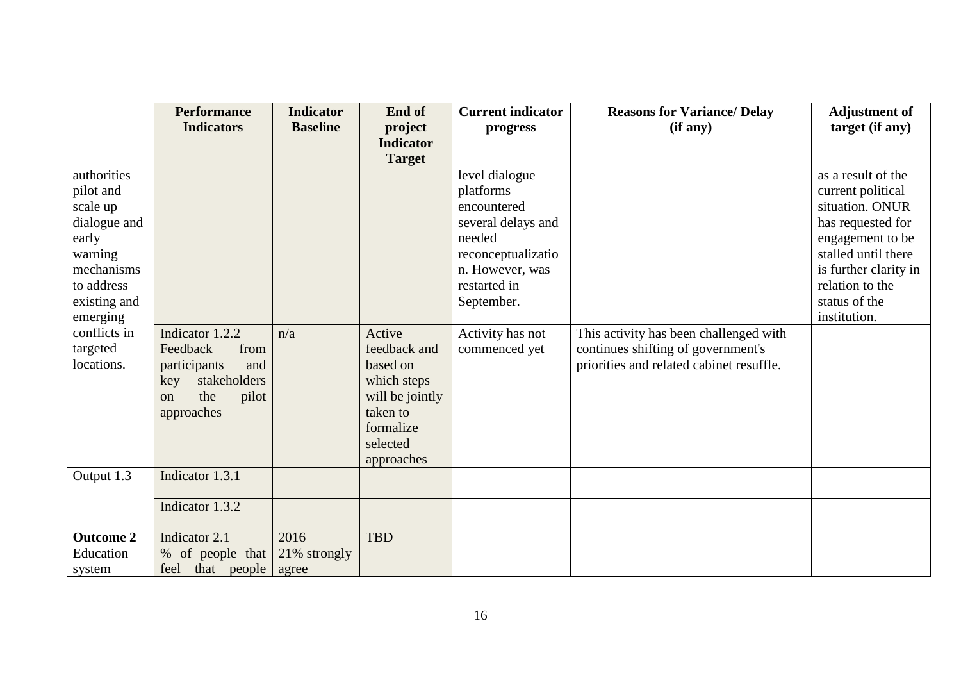|                  | <b>Performance</b>            | <b>Indicator</b> | End of           | <b>Current indicator</b> | <b>Reasons for Variance/ Delay</b>       | <b>Adjustment of</b>  |
|------------------|-------------------------------|------------------|------------------|--------------------------|------------------------------------------|-----------------------|
|                  | <b>Indicators</b>             | <b>Baseline</b>  | project          | progress                 | (if any)                                 | target (if any)       |
|                  |                               |                  | <b>Indicator</b> |                          |                                          |                       |
|                  |                               |                  | <b>Target</b>    |                          |                                          |                       |
| authorities      |                               |                  |                  | level dialogue           |                                          | as a result of the    |
| pilot and        |                               |                  |                  | platforms                |                                          | current political     |
| scale up         |                               |                  |                  | encountered              |                                          | situation. ONUR       |
| dialogue and     |                               |                  |                  | several delays and       |                                          | has requested for     |
| early            |                               |                  |                  | needed                   |                                          | engagement to be      |
| warning          |                               |                  |                  | reconceptualizatio       |                                          | stalled until there   |
| mechanisms       |                               |                  |                  | n. However, was          |                                          | is further clarity in |
| to address       |                               |                  |                  | restarted in             |                                          | relation to the       |
| existing and     |                               |                  |                  | September.               |                                          | status of the         |
| emerging         |                               |                  |                  |                          |                                          | institution.          |
| conflicts in     | Indicator 1.2.2               | n/a              | Active           | Activity has not         | This activity has been challenged with   |                       |
| targeted         | Feedback<br>from              |                  | feedback and     | commenced yet            | continues shifting of government's       |                       |
| locations.       | participants<br>and           |                  | based on         |                          | priorities and related cabinet resuffle. |                       |
|                  | stakeholders<br>key           |                  | which steps      |                          |                                          |                       |
|                  | the<br>pilot<br><sub>on</sub> |                  | will be jointly  |                          |                                          |                       |
|                  | approaches                    |                  | taken to         |                          |                                          |                       |
|                  |                               |                  | formalize        |                          |                                          |                       |
|                  |                               |                  | selected         |                          |                                          |                       |
|                  |                               |                  | approaches       |                          |                                          |                       |
| Output 1.3       | Indicator 1.3.1               |                  |                  |                          |                                          |                       |
|                  |                               |                  |                  |                          |                                          |                       |
|                  | Indicator 1.3.2               |                  |                  |                          |                                          |                       |
| <b>Outcome 2</b> | Indicator 2.1                 | 2016             | <b>TBD</b>       |                          |                                          |                       |
| Education        | % of people that              | 21% strongly     |                  |                          |                                          |                       |
| system           | feel that people              | agree            |                  |                          |                                          |                       |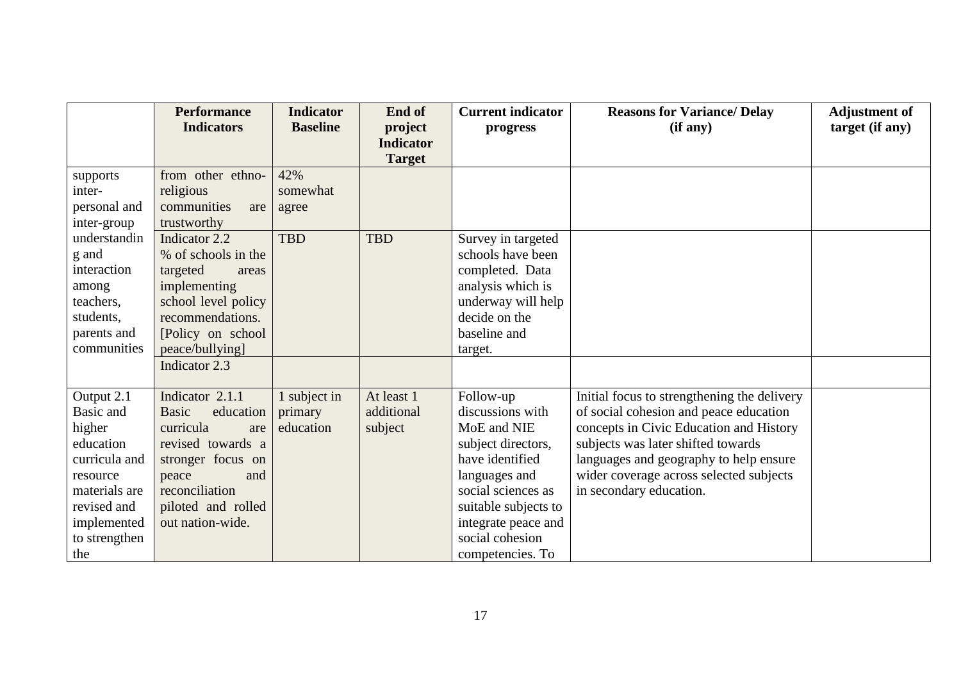|                                                                                                                                                    | <b>Performance</b><br><b>Indicators</b>                                                                                                                                                | <b>Indicator</b><br><b>Baseline</b>  | End of<br>project                   | <b>Current indicator</b><br>progress                                                                                                                                                                               | <b>Reasons for Variance/ Delay</b><br>(if any)                                                                                                                                                                                                                                         | <b>Adjustment of</b><br>target (if any) |
|----------------------------------------------------------------------------------------------------------------------------------------------------|----------------------------------------------------------------------------------------------------------------------------------------------------------------------------------------|--------------------------------------|-------------------------------------|--------------------------------------------------------------------------------------------------------------------------------------------------------------------------------------------------------------------|----------------------------------------------------------------------------------------------------------------------------------------------------------------------------------------------------------------------------------------------------------------------------------------|-----------------------------------------|
|                                                                                                                                                    |                                                                                                                                                                                        |                                      | <b>Indicator</b><br><b>Target</b>   |                                                                                                                                                                                                                    |                                                                                                                                                                                                                                                                                        |                                         |
| supports<br>inter-<br>personal and<br>inter-group                                                                                                  | from other ethno-<br>religious<br>communities<br>are<br>trustworthy                                                                                                                    | 42%<br>somewhat<br>agree             |                                     |                                                                                                                                                                                                                    |                                                                                                                                                                                                                                                                                        |                                         |
| understandin<br>g and<br>interaction<br>among<br>teachers,<br>students,<br>parents and<br>communities                                              | Indicator 2.2<br>% of schools in the<br>targeted<br>areas<br>implementing<br>school level policy<br>recommendations.<br>[Policy on school]<br>peace/bullying]<br>Indicator 2.3         | <b>TBD</b>                           | <b>TBD</b>                          | Survey in targeted<br>schools have been<br>completed. Data<br>analysis which is<br>underway will help<br>decide on the<br>baseline and<br>target.                                                                  |                                                                                                                                                                                                                                                                                        |                                         |
| Output 2.1<br>Basic and<br>higher<br>education<br>curricula and<br>resource<br>materials are<br>revised and<br>implemented<br>to strengthen<br>the | Indicator 2.1.1<br><b>Basic</b><br>education<br>curricula<br>are<br>revised towards a<br>stronger focus on<br>peace<br>and<br>reconciliation<br>piloted and rolled<br>out nation-wide. | 1 subject in<br>primary<br>education | At least 1<br>additional<br>subject | Follow-up<br>discussions with<br>MoE and NIE<br>subject directors,<br>have identified<br>languages and<br>social sciences as<br>suitable subjects to<br>integrate peace and<br>social cohesion<br>competencies. To | Initial focus to strengthening the delivery<br>of social cohesion and peace education<br>concepts in Civic Education and History<br>subjects was later shifted towards<br>languages and geography to help ensure<br>wider coverage across selected subjects<br>in secondary education. |                                         |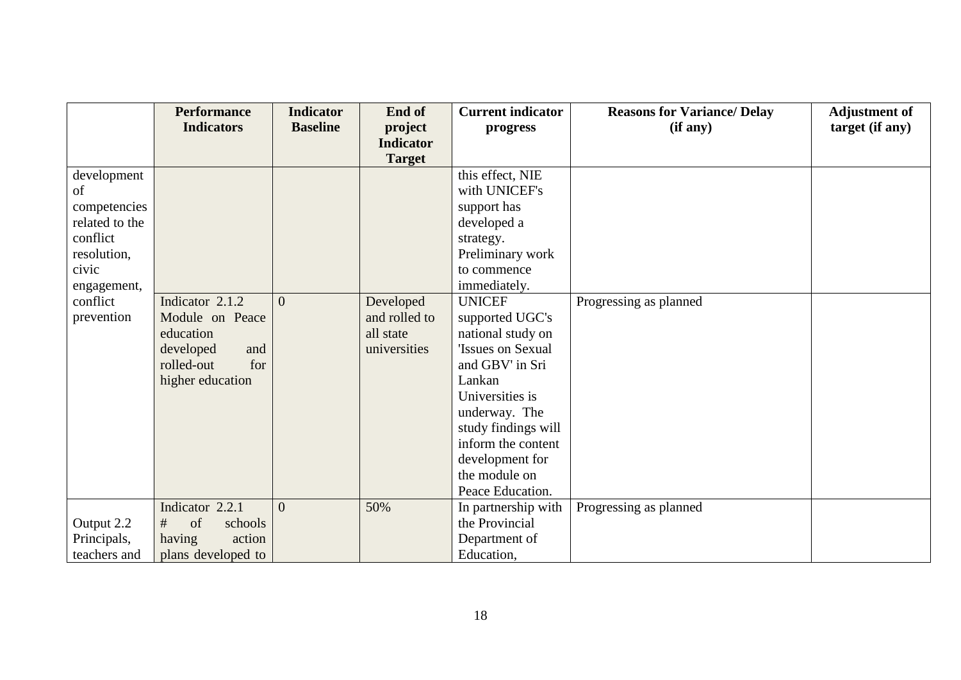|                | <b>Performance</b> | <b>Indicator</b> | End of           | <b>Current indicator</b> | <b>Reasons for Variance/ Delay</b> | <b>Adjustment of</b> |
|----------------|--------------------|------------------|------------------|--------------------------|------------------------------------|----------------------|
|                | <b>Indicators</b>  | <b>Baseline</b>  | project          | progress                 | (if any)                           | target (if any)      |
|                |                    |                  | <b>Indicator</b> |                          |                                    |                      |
|                |                    |                  | <b>Target</b>    |                          |                                    |                      |
| development    |                    |                  |                  | this effect, NIE         |                                    |                      |
| of             |                    |                  |                  | with UNICEF's            |                                    |                      |
| competencies   |                    |                  |                  | support has              |                                    |                      |
| related to the |                    |                  |                  | developed a              |                                    |                      |
| conflict       |                    |                  |                  | strategy.                |                                    |                      |
| resolution,    |                    |                  |                  | Preliminary work         |                                    |                      |
| civic          |                    |                  |                  | to commence              |                                    |                      |
| engagement,    |                    |                  |                  | immediately.             |                                    |                      |
| conflict       | Indicator 2.1.2    | $\Omega$         | Developed        | <b>UNICEF</b>            | Progressing as planned             |                      |
| prevention     | Module on Peace    |                  | and rolled to    | supported UGC's          |                                    |                      |
|                | education          |                  | all state        | national study on        |                                    |                      |
|                | developed<br>and   |                  | universities     | <b>Issues on Sexual</b>  |                                    |                      |
|                | for<br>rolled-out  |                  |                  | and GBV' in Sri          |                                    |                      |
|                | higher education   |                  |                  | Lankan                   |                                    |                      |
|                |                    |                  |                  | Universities is          |                                    |                      |
|                |                    |                  |                  | underway. The            |                                    |                      |
|                |                    |                  |                  | study findings will      |                                    |                      |
|                |                    |                  |                  | inform the content       |                                    |                      |
|                |                    |                  |                  | development for          |                                    |                      |
|                |                    |                  |                  | the module on            |                                    |                      |
|                |                    |                  |                  | Peace Education.         |                                    |                      |
|                | Indicator 2.2.1    | $\overline{0}$   | 50%              | In partnership with      | Progressing as planned             |                      |
| Output 2.2     | of<br>#<br>schools |                  |                  | the Provincial           |                                    |                      |
| Principals,    | having<br>action   |                  |                  | Department of            |                                    |                      |
| teachers and   | plans developed to |                  |                  | Education,               |                                    |                      |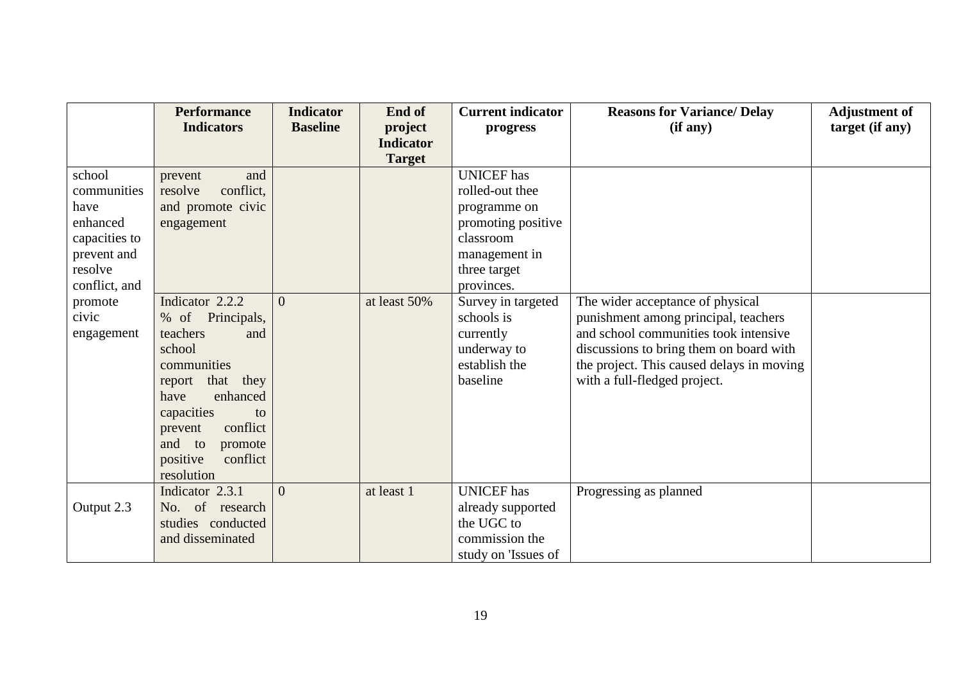|               | <b>Performance</b>   | <b>Indicator</b> | End of                            | <b>Current indicator</b> | <b>Reasons for Variance/ Delay</b>        | <b>Adjustment of</b> |
|---------------|----------------------|------------------|-----------------------------------|--------------------------|-------------------------------------------|----------------------|
|               | <b>Indicators</b>    | <b>Baseline</b>  | project                           | progress                 | (if any)                                  | target (if any)      |
|               |                      |                  | <b>Indicator</b><br><b>Target</b> |                          |                                           |                      |
| school        | and<br>prevent       |                  |                                   | <b>UNICEF</b> has        |                                           |                      |
| communities   | resolve<br>conflict, |                  |                                   | rolled-out thee          |                                           |                      |
| have          | and promote civic    |                  |                                   | programme on             |                                           |                      |
| enhanced      | engagement           |                  |                                   | promoting positive       |                                           |                      |
| capacities to |                      |                  |                                   | classroom                |                                           |                      |
| prevent and   |                      |                  |                                   | management in            |                                           |                      |
| resolve       |                      |                  |                                   | three target             |                                           |                      |
| conflict, and |                      |                  |                                   | provinces.               |                                           |                      |
| promote       | Indicator 2.2.2      | $\Omega$         | at least 50%                      | Survey in targeted       | The wider acceptance of physical          |                      |
| civic         | % of Principals,     |                  |                                   | schools is               | punishment among principal, teachers      |                      |
| engagement    | teachers<br>and      |                  |                                   | currently                | and school communities took intensive     |                      |
|               | school               |                  |                                   | underway to              | discussions to bring them on board with   |                      |
|               | communities          |                  |                                   | establish the            | the project. This caused delays in moving |                      |
|               | that they<br>report  |                  |                                   | baseline                 | with a full-fledged project.              |                      |
|               | enhanced<br>have     |                  |                                   |                          |                                           |                      |
|               | capacities<br>to     |                  |                                   |                          |                                           |                      |
|               | conflict<br>prevent  |                  |                                   |                          |                                           |                      |
|               | and<br>to<br>promote |                  |                                   |                          |                                           |                      |
|               | positive<br>conflict |                  |                                   |                          |                                           |                      |
|               | resolution           |                  |                                   |                          |                                           |                      |
|               | Indicator 2.3.1      | $\theta$         | at least 1                        | <b>UNICEF</b> has        | Progressing as planned                    |                      |
| Output 2.3    | No. of research      |                  |                                   | already supported        |                                           |                      |
|               | studies conducted    |                  |                                   | the UGC to               |                                           |                      |
|               | and disseminated     |                  |                                   | commission the           |                                           |                      |
|               |                      |                  |                                   | study on 'Issues of      |                                           |                      |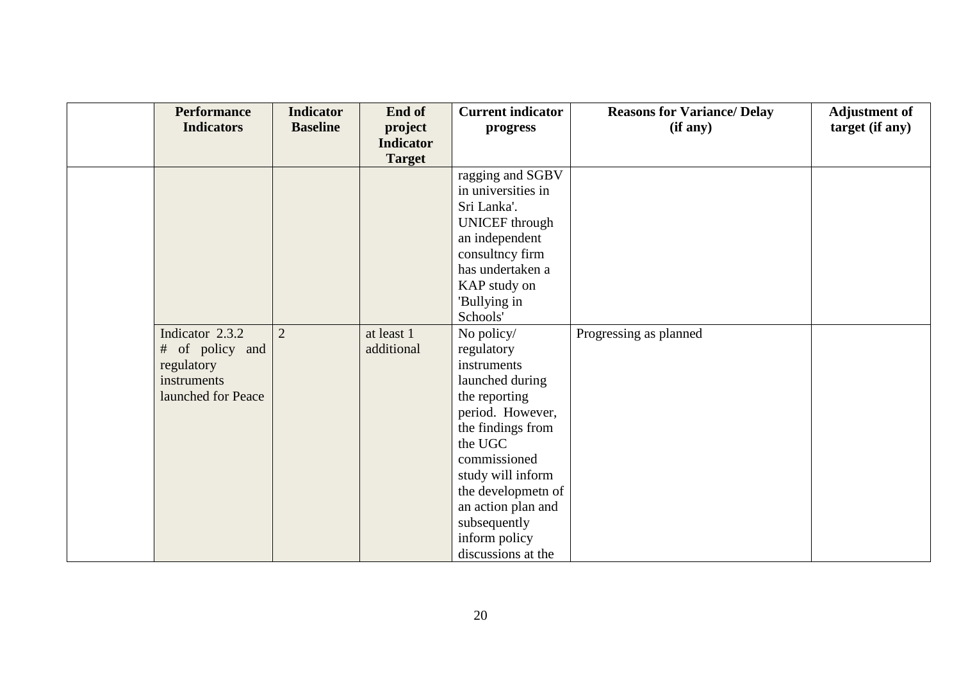| <b>Performance</b><br><b>Indicators</b> | <b>Indicator</b><br><b>Baseline</b> | End of<br>project<br><b>Indicator</b> | <b>Current indicator</b><br>progress | <b>Reasons for Variance/ Delay</b><br>(if any) | <b>Adjustment of</b><br>target (if any) |
|-----------------------------------------|-------------------------------------|---------------------------------------|--------------------------------------|------------------------------------------------|-----------------------------------------|
|                                         |                                     | <b>Target</b>                         |                                      |                                                |                                         |
|                                         |                                     |                                       | ragging and SGBV                     |                                                |                                         |
|                                         |                                     |                                       | in universities in                   |                                                |                                         |
|                                         |                                     |                                       | Sri Lanka'.                          |                                                |                                         |
|                                         |                                     |                                       | <b>UNICEF</b> through                |                                                |                                         |
|                                         |                                     |                                       | an independent                       |                                                |                                         |
|                                         |                                     |                                       | consultncy firm                      |                                                |                                         |
|                                         |                                     |                                       | has undertaken a                     |                                                |                                         |
|                                         |                                     |                                       | KAP study on                         |                                                |                                         |
|                                         |                                     |                                       | 'Bullying in                         |                                                |                                         |
|                                         |                                     |                                       | Schools'                             |                                                |                                         |
| Indicator 2.3.2                         | $\overline{2}$                      | at least 1                            | No policy/                           | Progressing as planned                         |                                         |
| # of policy and                         |                                     | additional                            | regulatory                           |                                                |                                         |
| regulatory                              |                                     |                                       | instruments                          |                                                |                                         |
| instruments                             |                                     |                                       | launched during                      |                                                |                                         |
| launched for Peace                      |                                     |                                       | the reporting                        |                                                |                                         |
|                                         |                                     |                                       | period. However,                     |                                                |                                         |
|                                         |                                     |                                       | the findings from                    |                                                |                                         |
|                                         |                                     |                                       | the UGC                              |                                                |                                         |
|                                         |                                     |                                       | commissioned                         |                                                |                                         |
|                                         |                                     |                                       | study will inform                    |                                                |                                         |
|                                         |                                     |                                       | the developmeth of                   |                                                |                                         |
|                                         |                                     |                                       | an action plan and                   |                                                |                                         |
|                                         |                                     |                                       | subsequently                         |                                                |                                         |
|                                         |                                     |                                       | inform policy                        |                                                |                                         |
|                                         |                                     |                                       | discussions at the                   |                                                |                                         |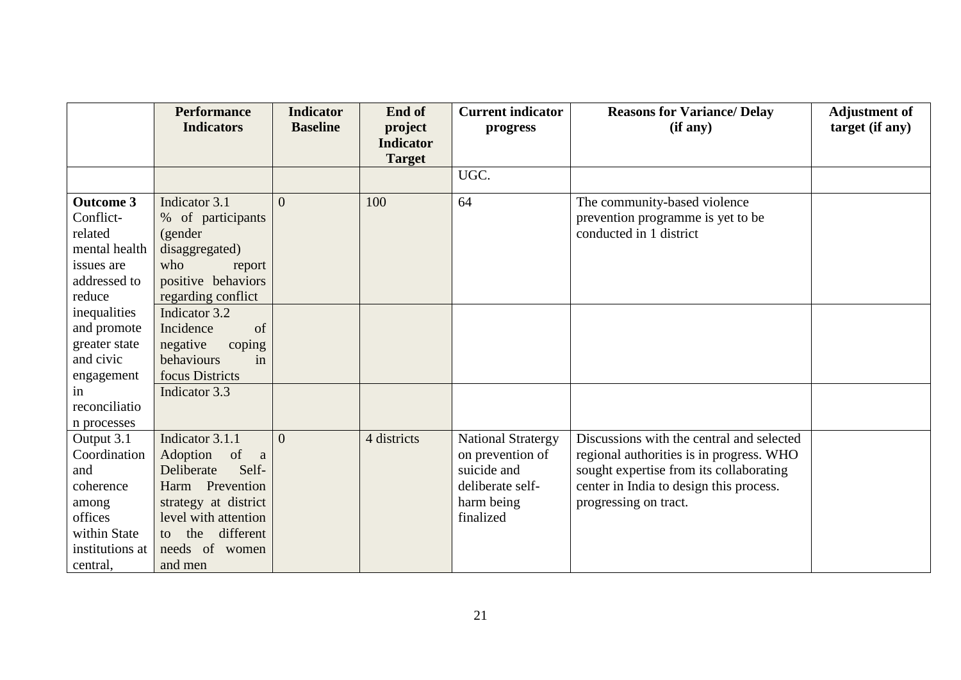|                  | <b>Performance</b>     | <b>Indicator</b> | End of           | <b>Current indicator</b>  | <b>Reasons for Variance/ Delay</b>        | <b>Adjustment of</b> |
|------------------|------------------------|------------------|------------------|---------------------------|-------------------------------------------|----------------------|
|                  | <b>Indicators</b>      | <b>Baseline</b>  | project          | progress                  | (if any)                                  | target (if any)      |
|                  |                        |                  | <b>Indicator</b> |                           |                                           |                      |
|                  |                        |                  | <b>Target</b>    |                           |                                           |                      |
|                  |                        |                  |                  | UGC.                      |                                           |                      |
| <b>Outcome 3</b> | Indicator 3.1          | $\theta$         | 100              | 64                        | The community-based violence              |                      |
| Conflict-        | % of participants      |                  |                  |                           | prevention programme is yet to be         |                      |
| related          | (gender                |                  |                  |                           | conducted in 1 district                   |                      |
| mental health    | disaggregated)         |                  |                  |                           |                                           |                      |
| issues are       | who<br>report          |                  |                  |                           |                                           |                      |
| addressed to     | positive behaviors     |                  |                  |                           |                                           |                      |
| reduce           | regarding conflict     |                  |                  |                           |                                           |                      |
| inequalities     | Indicator 3.2          |                  |                  |                           |                                           |                      |
| and promote      | Incidence<br>of        |                  |                  |                           |                                           |                      |
| greater state    | negative<br>coping     |                  |                  |                           |                                           |                      |
| and civic        | behaviours<br>in       |                  |                  |                           |                                           |                      |
| engagement       | focus Districts        |                  |                  |                           |                                           |                      |
| in               | Indicator 3.3          |                  |                  |                           |                                           |                      |
| reconciliatio    |                        |                  |                  |                           |                                           |                      |
| n processes      |                        |                  |                  |                           |                                           |                      |
| Output 3.1       | Indicator 3.1.1        | $\Omega$         | 4 districts      | <b>National Stratergy</b> | Discussions with the central and selected |                      |
| Coordination     | Adoption<br>of a       |                  |                  | on prevention of          | regional authorities is in progress. WHO  |                      |
| and              | Self-<br>Deliberate    |                  |                  | suicide and               | sought expertise from its collaborating   |                      |
| coherence        | Harm Prevention        |                  |                  | deliberate self-          | center in India to design this process.   |                      |
| among            | strategy at district   |                  |                  | harm being                | progressing on tract.                     |                      |
| offices          | level with attention   |                  |                  | finalized                 |                                           |                      |
| within State     | different<br>the<br>to |                  |                  |                           |                                           |                      |
| institutions at  | needs of women         |                  |                  |                           |                                           |                      |
| central,         | and men                |                  |                  |                           |                                           |                      |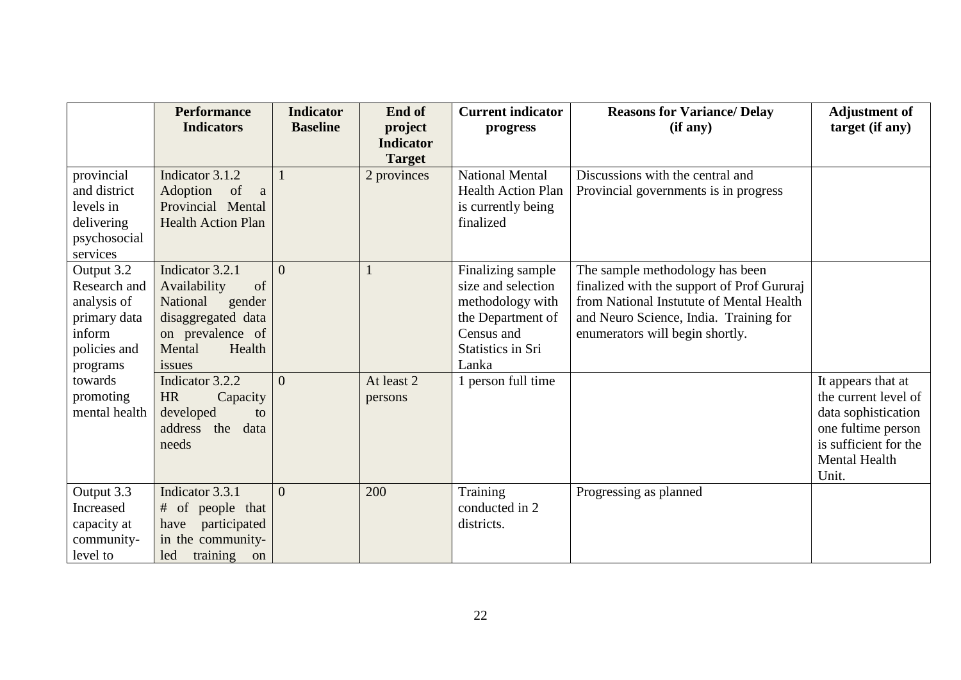|               | <b>Performance</b><br><b>Indicators</b> | <b>Indicator</b><br><b>Baseline</b> | End of<br>project | <b>Current indicator</b><br>progress | <b>Reasons for Variance/Delay</b><br>(if any) | <b>Adjustment of</b><br>target (if any)     |
|---------------|-----------------------------------------|-------------------------------------|-------------------|--------------------------------------|-----------------------------------------------|---------------------------------------------|
|               |                                         |                                     | <b>Indicator</b>  |                                      |                                               |                                             |
|               |                                         |                                     | <b>Target</b>     |                                      |                                               |                                             |
| provincial    | Indicator 3.1.2                         |                                     | 2 provinces       | <b>National Mental</b>               | Discussions with the central and              |                                             |
| and district  | Adoption<br>of<br><sub>a</sub>          |                                     |                   | <b>Health Action Plan</b>            | Provincial governments is in progress         |                                             |
| levels in     | Provincial Mental                       |                                     |                   | is currently being                   |                                               |                                             |
| delivering    | <b>Health Action Plan</b>               |                                     |                   | finalized                            |                                               |                                             |
| psychosocial  |                                         |                                     |                   |                                      |                                               |                                             |
| services      |                                         |                                     |                   |                                      |                                               |                                             |
| Output 3.2    | Indicator 3.2.1                         | $\Omega$                            |                   | Finalizing sample                    | The sample methodology has been               |                                             |
| Research and  | of<br>Availability                      |                                     |                   | size and selection                   | finalized with the support of Prof Gururaj    |                                             |
| analysis of   | National<br>gender                      |                                     |                   | methodology with                     | from National Instutute of Mental Health      |                                             |
| primary data  | disaggregated data                      |                                     |                   | the Department of                    | and Neuro Science, India. Training for        |                                             |
| inform        | on prevalence of                        |                                     |                   | Census and                           | enumerators will begin shortly.               |                                             |
| policies and  | Health<br>Mental                        |                                     |                   | <b>Statistics in Sri</b>             |                                               |                                             |
| programs      | issues                                  |                                     |                   | Lanka                                |                                               |                                             |
| towards       | Indicator 3.2.2                         | $\Omega$                            | At least 2        | 1 person full time                   |                                               | It appears that at                          |
| promoting     | <b>HR</b><br>Capacity                   |                                     | persons           |                                      |                                               | the current level of                        |
| mental health | developed<br>to                         |                                     |                   |                                      |                                               | data sophistication                         |
|               | address the data                        |                                     |                   |                                      |                                               | one fultime person<br>is sufficient for the |
|               | needs                                   |                                     |                   |                                      |                                               | Mental Health                               |
|               |                                         |                                     |                   |                                      |                                               | Unit.                                       |
| Output 3.3    | Indicator 3.3.1                         | $\Omega$                            | 200               | Training                             | Progressing as planned                        |                                             |
| Increased     | of people that<br>#                     |                                     |                   | conducted in 2                       |                                               |                                             |
| capacity at   | participated<br>have                    |                                     |                   | districts.                           |                                               |                                             |
| community-    | in the community-                       |                                     |                   |                                      |                                               |                                             |
| level to      | led<br>training on                      |                                     |                   |                                      |                                               |                                             |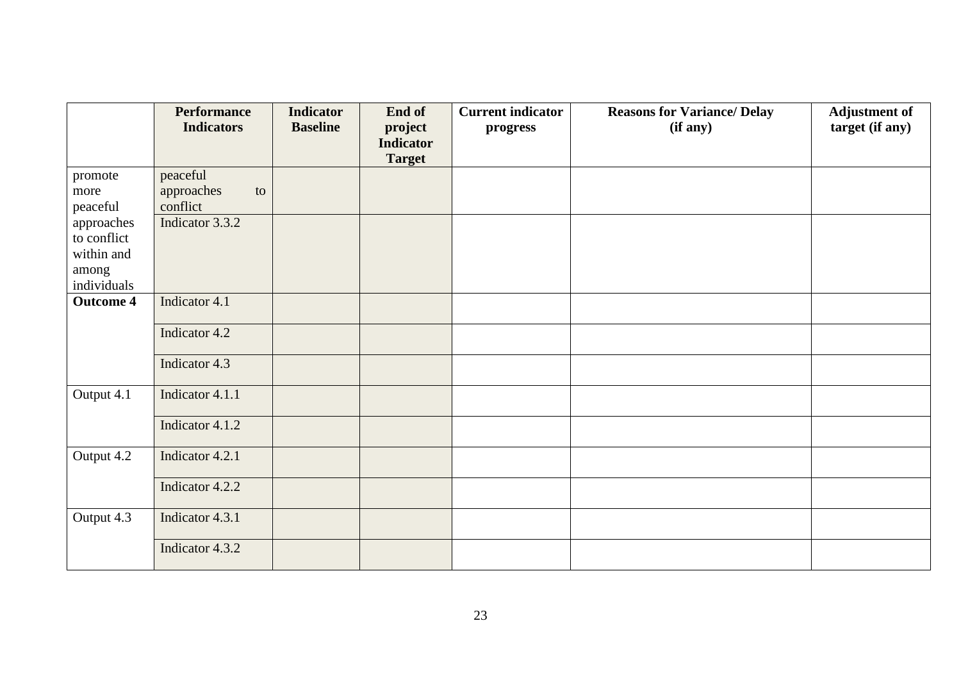|                      | <b>Performance</b> | <b>Indicator</b> | End of           | <b>Current indicator</b> | <b>Reasons for Variance/ Delay</b> | <b>Adjustment of</b> |
|----------------------|--------------------|------------------|------------------|--------------------------|------------------------------------|----------------------|
|                      | <b>Indicators</b>  | <b>Baseline</b>  | project          | progress                 | (if any)                           | target (if any)      |
|                      |                    |                  | <b>Indicator</b> |                          |                                    |                      |
|                      |                    |                  | <b>Target</b>    |                          |                                    |                      |
| promote              | peaceful           |                  |                  |                          |                                    |                      |
| more                 | approaches<br>to   |                  |                  |                          |                                    |                      |
| peaceful             | conflict           |                  |                  |                          |                                    |                      |
| approaches           | Indicator 3.3.2    |                  |                  |                          |                                    |                      |
| to conflict          |                    |                  |                  |                          |                                    |                      |
| within and           |                    |                  |                  |                          |                                    |                      |
| among<br>individuals |                    |                  |                  |                          |                                    |                      |
| <b>Outcome 4</b>     | Indicator 4.1      |                  |                  |                          |                                    |                      |
|                      | Indicator 4.2      |                  |                  |                          |                                    |                      |
|                      | Indicator 4.3      |                  |                  |                          |                                    |                      |
| Output 4.1           | Indicator 4.1.1    |                  |                  |                          |                                    |                      |
|                      | Indicator 4.1.2    |                  |                  |                          |                                    |                      |
| Output 4.2           | Indicator 4.2.1    |                  |                  |                          |                                    |                      |
|                      | Indicator 4.2.2    |                  |                  |                          |                                    |                      |
| Output 4.3           | Indicator 4.3.1    |                  |                  |                          |                                    |                      |
|                      | Indicator 4.3.2    |                  |                  |                          |                                    |                      |